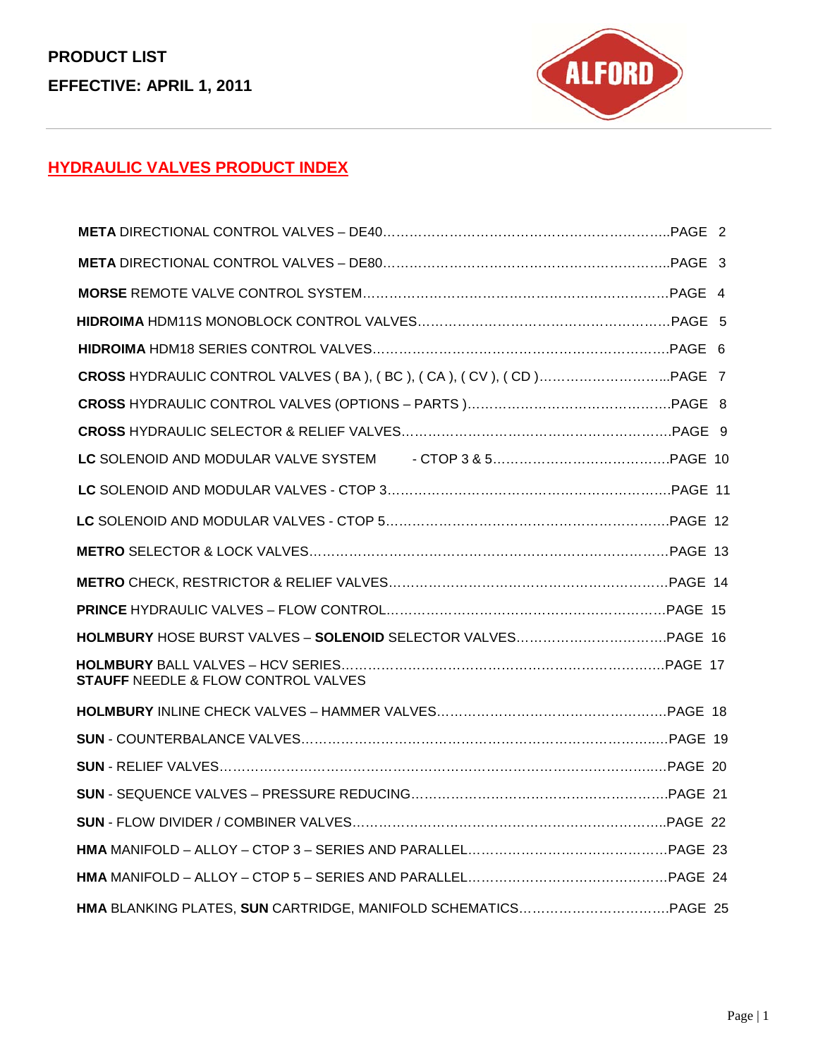

### **HYDRAULIC VALVES PRODUCT INDEX**

| <b>STAUFF NEEDLE &amp; FLOW CONTROL VALVES</b> |  |
|------------------------------------------------|--|
|                                                |  |
|                                                |  |
|                                                |  |
|                                                |  |
|                                                |  |
|                                                |  |
|                                                |  |
|                                                |  |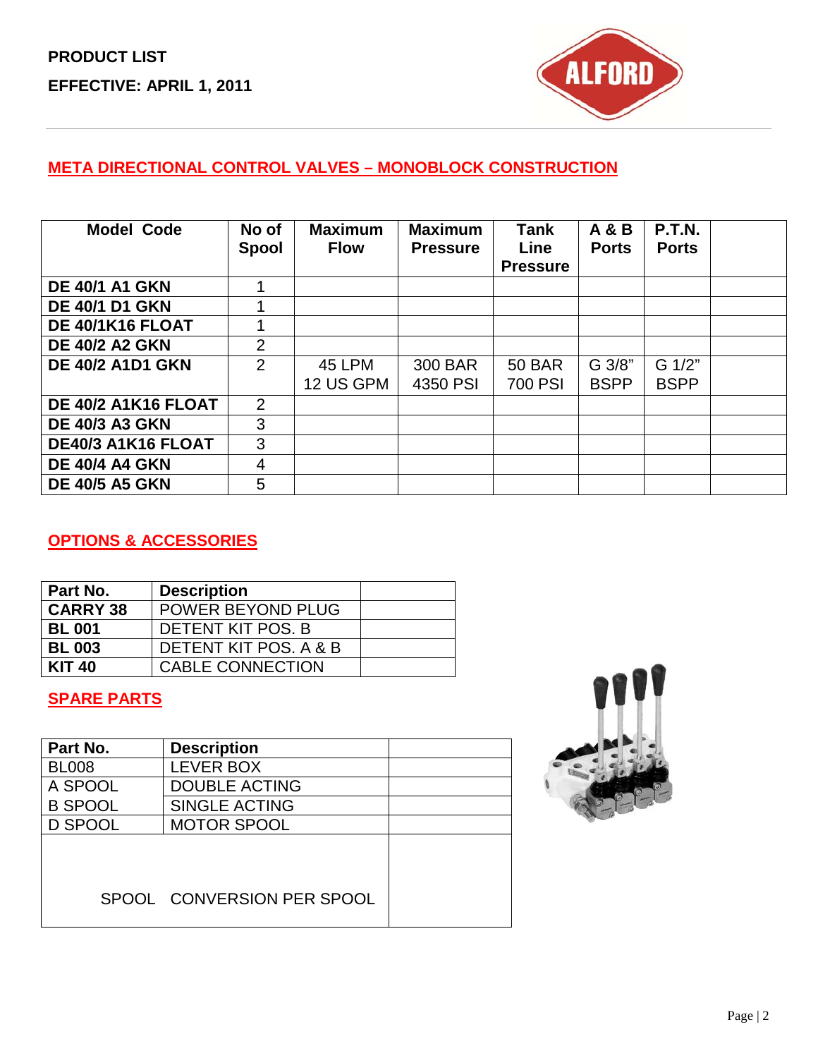

### **META DIRECTIONAL CONTROL VALVES – MONOBLOCK CONSTRUCTION**

| <b>Model Code</b>       | No of<br><b>Spool</b> | <b>Maximum</b><br><b>Flow</b> | <b>Maximum</b><br><b>Pressure</b> | <b>Tank</b><br>Line<br><b>Pressure</b> | <b>A &amp; B</b><br><b>Ports</b> | <b>P.T.N.</b><br><b>Ports</b> |  |
|-------------------------|-----------------------|-------------------------------|-----------------------------------|----------------------------------------|----------------------------------|-------------------------------|--|
| <b>DE 40/1 A1 GKN</b>   |                       |                               |                                   |                                        |                                  |                               |  |
| <b>DE 40/1 D1 GKN</b>   |                       |                               |                                   |                                        |                                  |                               |  |
| DE 40/1K16 FLOAT        | 1                     |                               |                                   |                                        |                                  |                               |  |
| <b>DE 40/2 A2 GKN</b>   | 2                     |                               |                                   |                                        |                                  |                               |  |
| <b>DE 40/2 A1D1 GKN</b> | 2                     | 45 LPM<br>12 US GPM           | 300 BAR<br>4350 PSI               | <b>50 BAR</b><br>700 PSI               | G 3/8"<br><b>BSPP</b>            | G 1/2"<br><b>BSPP</b>         |  |
| DE 40/2 A1K16 FLOAT     | 2                     |                               |                                   |                                        |                                  |                               |  |
| <b>DE 40/3 A3 GKN</b>   | 3                     |                               |                                   |                                        |                                  |                               |  |
| DE40/3 A1K16 FLOAT      | 3                     |                               |                                   |                                        |                                  |                               |  |
| <b>DE 40/4 A4 GKN</b>   | 4                     |                               |                                   |                                        |                                  |                               |  |
| <b>DE 40/5 A5 GKN</b>   | 5                     |                               |                                   |                                        |                                  |                               |  |

### **OPTIONS & ACCESSORIES**

| Part No.        | <b>Description</b>      |  |
|-----------------|-------------------------|--|
| <b>CARRY 38</b> | POWER BEYOND PLUG       |  |
| <b>BL 001</b>   | DETENT KIT POS. B       |  |
| <b>BL 003</b>   | DETENT KIT POS, A & B   |  |
| <b>KIT 40</b>   | <b>CABLE CONNECTION</b> |  |

### **SPARE PARTS**

| Part No.       | <b>Description</b>         |  |
|----------------|----------------------------|--|
| <b>BL008</b>   | <b>LEVER BOX</b>           |  |
| A SPOOL        | <b>DOUBLE ACTING</b>       |  |
| <b>B SPOOL</b> | <b>SINGLE ACTING</b>       |  |
| <b>D SPOOL</b> | <b>MOTOR SPOOL</b>         |  |
|                |                            |  |
|                | SPOOL CONVERSION PER SPOOL |  |

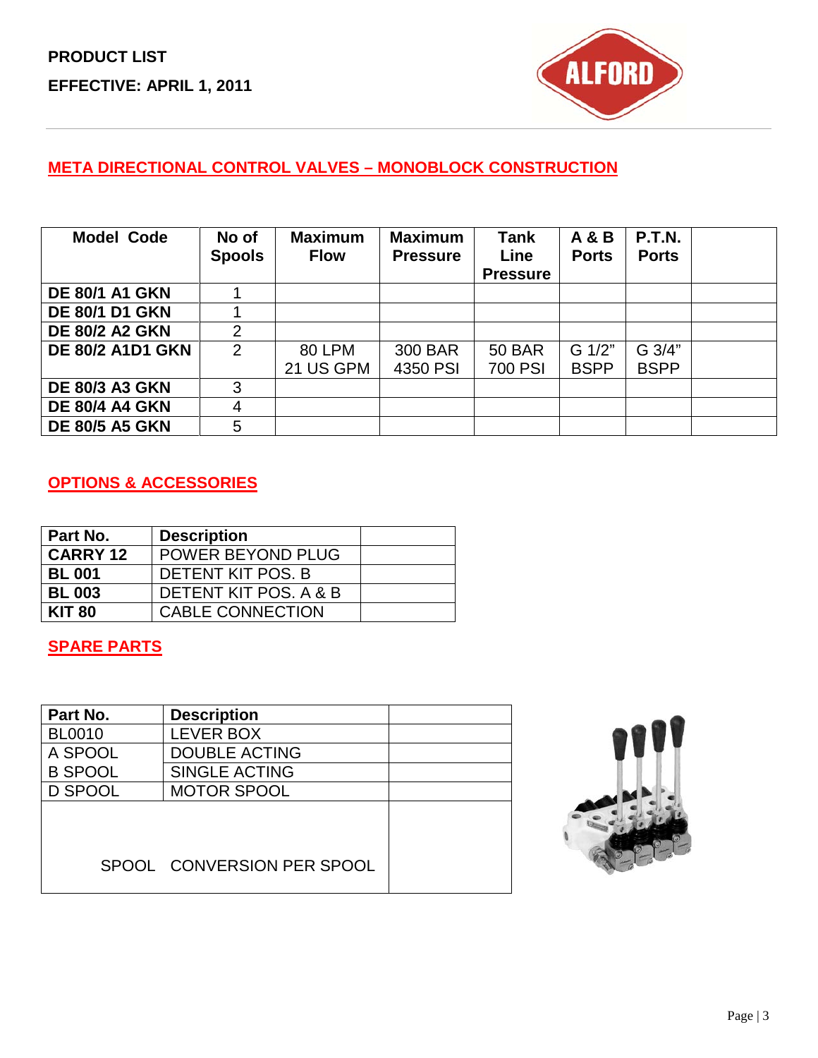

### **META DIRECTIONAL CONTROL VALVES – MONOBLOCK CONSTRUCTION**

| <b>Model Code</b>       | No of<br><b>Spools</b> | <b>Maximum</b><br><b>Flow</b> | <b>Maximum</b><br><b>Pressure</b> | <b>Tank</b><br>Line<br><b>Pressure</b> | <b>A &amp; B</b><br><b>Ports</b> | <b>P.T.N.</b><br><b>Ports</b> |  |
|-------------------------|------------------------|-------------------------------|-----------------------------------|----------------------------------------|----------------------------------|-------------------------------|--|
| <b>DE 80/1 A1 GKN</b>   |                        |                               |                                   |                                        |                                  |                               |  |
| <b>DE 80/1 D1 GKN</b>   |                        |                               |                                   |                                        |                                  |                               |  |
| <b>DE 80/2 A2 GKN</b>   | 2                      |                               |                                   |                                        |                                  |                               |  |
| <b>DE 80/2 A1D1 GKN</b> | $\overline{2}$         | 80 LPM                        | 300 BAR                           | <b>50 BAR</b>                          | G 1/2"                           | G 3/4"                        |  |
|                         |                        | 21 US GPM                     | 4350 PSI                          | 700 PSI                                | <b>BSPP</b>                      | <b>BSPP</b>                   |  |
| <b>DE 80/3 A3 GKN</b>   | 3                      |                               |                                   |                                        |                                  |                               |  |
| <b>DE 80/4 A4 GKN</b>   | 4                      |                               |                                   |                                        |                                  |                               |  |
| <b>DE 80/5 A5 GKN</b>   | 5                      |                               |                                   |                                        |                                  |                               |  |

### **OPTIONS & ACCESSORIES**

| Part No.        | <b>Description</b>       |  |
|-----------------|--------------------------|--|
| <b>CARRY 12</b> | <b>POWER BEYOND PLUG</b> |  |
| <b>BL 001</b>   | DETENT KIT POS. B        |  |
| <b>BL 003</b>   | DETENT KIT POS, A & B    |  |
| <b>KIT 80</b>   | <b>CABLE CONNECTION</b>  |  |

#### **SPARE PARTS**

| Part No.       | <b>Description</b>         |  |
|----------------|----------------------------|--|
| <b>BL0010</b>  | <b>LEVER BOX</b>           |  |
| A SPOOL        | <b>DOUBLE ACTING</b>       |  |
| <b>B SPOOL</b> | <b>SINGLE ACTING</b>       |  |
| <b>D SPOOL</b> | <b>MOTOR SPOOL</b>         |  |
|                |                            |  |
|                | SPOOL CONVERSION PER SPOOL |  |

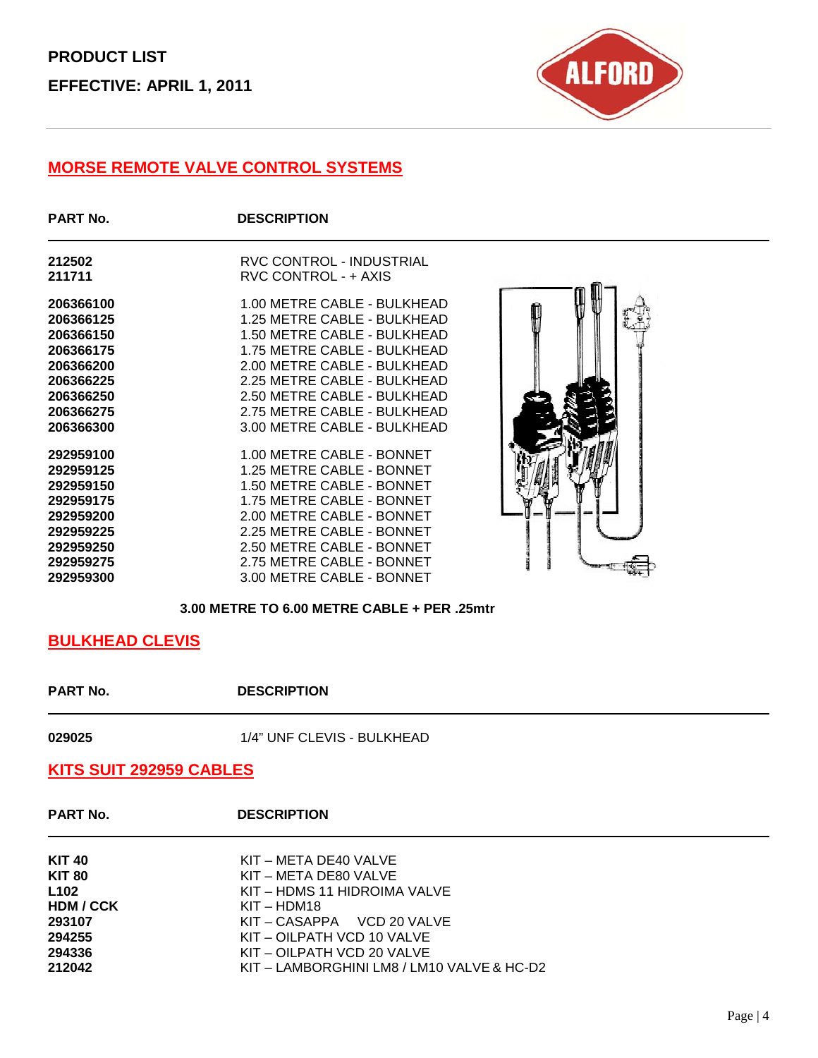

### **MORSE REMOTE VALVE CONTROL SYSTEMS**

| <b>PART No.</b> | <b>DESCRIPTION</b>              |  |
|-----------------|---------------------------------|--|
| 212502          | <b>RVC CONTROL - INDUSTRIAL</b> |  |
| 211711          | RVC CONTROL - + AXIS            |  |
| 206366100       | 1.00 METRE CABLE - BULKHEAD     |  |
| 206366125       | 1.25 METRE CABLE - BULKHEAD     |  |
| 206366150       | 1.50 METRE CABLE - BULKHEAD     |  |
| 206366175       | 1.75 METRE CABLE - BULKHEAD     |  |
| 206366200       | 2.00 METRE CABLE - BULKHEAD     |  |
| 206366225       | 2.25 METRE CABLE - BULKHEAD     |  |
| 206366250       | 2.50 METRE CABLE - BULKHEAD     |  |
| 206366275       | 2.75 METRE CABLE - BULKHEAD     |  |
| 206366300       | 3.00 METRE CABLE - BULKHEAD     |  |
| 292959100       | 1.00 METRE CABLE - BONNET       |  |
| 292959125       | 1.25 METRE CABLE - BONNET       |  |
| 292959150       | 1.50 METRE CABLE - BONNET       |  |
| 292959175       | 1.75 METRE CABLE - BONNET       |  |
| 292959200       | 2.00 METRE CABLE - BONNET       |  |
| 292959225       | 2.25 METRE CABLE - BONNET       |  |
| 292959250       | 2.50 METRE CABLE - BONNET       |  |
| 292959275       | 2.75 METRE CABLE - BONNET       |  |
| 292959300       | 3.00 METRE CABLE - BONNET       |  |



#### **3.00 METRE TO 6.00 METRE CABLE + PER .25mtr**

#### **BULKHEAD CLEVIS**

**PART No. DESCRIPTION** 

1/4" UNF CLEVIS - BULKHEAD

#### **KITS SUIT 292959 CABLES**

**PART No. DESCRIPTION**

| <b>KIT 40</b><br><b>KIT 80</b><br>L <sub>102</sub> | KIT – META DE40 VALVE<br>KIT – META DE80 VALVE<br>KIT – HDMS 11 HIDROIMA VALVE |
|----------------------------------------------------|--------------------------------------------------------------------------------|
| HDM / CCK                                          | $KIT - HDM18$                                                                  |
| 293107                                             | KIT-CASAPPA VCD 20 VALVE                                                       |
| 294255                                             | KIT – OILPATH VCD 10 VALVE                                                     |
| 294336                                             | KIT – OILPATH VCD 20 VALVE                                                     |
| 212042                                             | KIT – LAMBORGHINI LM8 / LM10 VALVE & HC-D2                                     |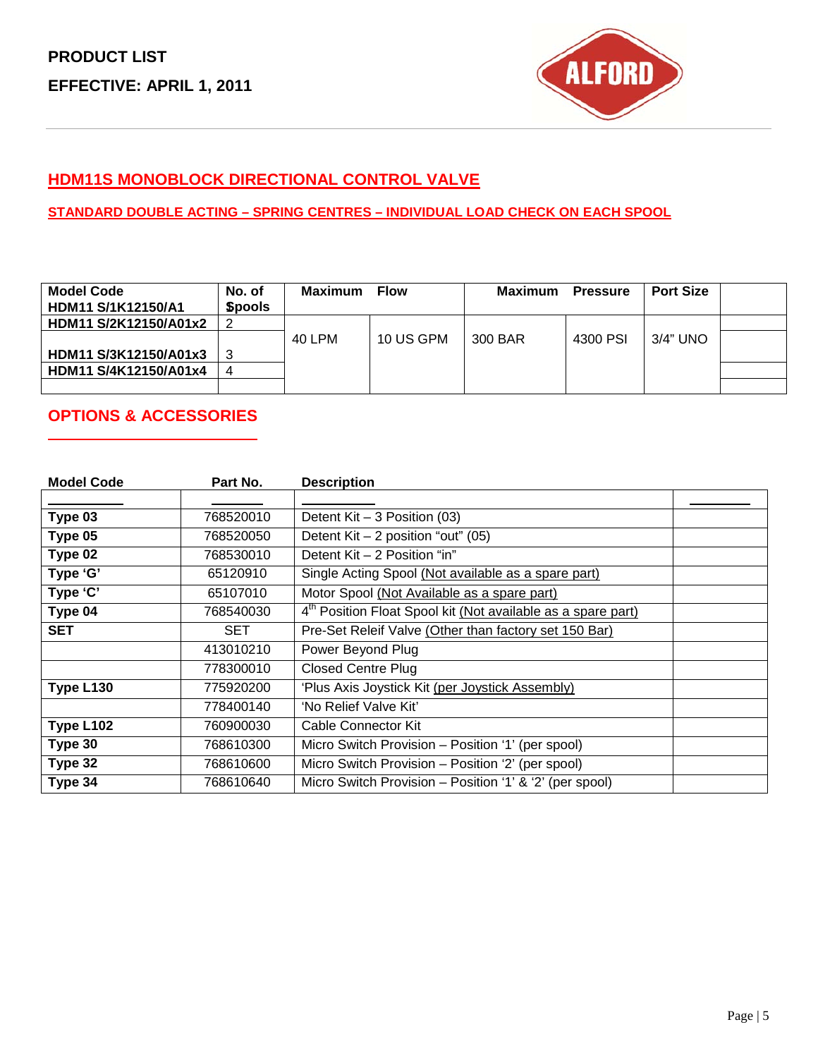

### **HDM11S MONOBLOCK DIRECTIONAL CONTROL VALVE**

#### **STANDARD DOUBLE ACTING – SPRING CENTRES – INDIVIDUAL LOAD CHECK ON EACH SPOOL**

| <b>Model Code</b><br><b>HDM11 S/1K12150/A1</b> | No. of<br><b>Spools</b> | Maximum | <b>Flow</b> | Maximum | <b>Pressure</b> | <b>Port Size</b> |  |
|------------------------------------------------|-------------------------|---------|-------------|---------|-----------------|------------------|--|
| HDM11 S/2K12150/A01x2                          |                         |         |             |         |                 |                  |  |
|                                                |                         | 40 LPM  | 10 US GPM   | 300 BAR | 4300 PSI        | 3/4" UNO         |  |
| HDM11 S/3K12150/A01x3                          |                         |         |             |         |                 |                  |  |
| HDM11 S/4K12150/A01x4                          |                         |         |             |         |                 |                  |  |
|                                                |                         |         |             |         |                 |                  |  |

### **OPTIONS & ACCESSORIES**

| <b>Model Code</b> | Part No.  | <b>Description</b>                                                       |  |
|-------------------|-----------|--------------------------------------------------------------------------|--|
|                   |           |                                                                          |  |
| Type 03           | 768520010 | Detent $Kit - 3$ Position (03)                                           |  |
| Type 05           | 768520050 | Detent Kit $-2$ position "out" (05)                                      |  |
| Type 02           | 768530010 | Detent Kit - 2 Position "in"                                             |  |
| Type 'G'          | 65120910  | Single Acting Spool (Not available as a spare part)                      |  |
| Type 'C'          | 65107010  | Motor Spool (Not Available as a spare part)                              |  |
| Type 04           | 768540030 | 4 <sup>th</sup> Position Float Spool kit (Not available as a spare part) |  |
| <b>SET</b>        | SET       | Pre-Set Releif Valve (Other than factory set 150 Bar)                    |  |
|                   | 413010210 | Power Beyond Plug                                                        |  |
|                   | 778300010 | <b>Closed Centre Plug</b>                                                |  |
| Type L130         | 775920200 | 'Plus Axis Joystick Kit (per Joystick Assembly)                          |  |
|                   | 778400140 | 'No Relief Valve Kit'                                                    |  |
| Type L102         | 760900030 | Cable Connector Kit                                                      |  |
| Type 30           | 768610300 | Micro Switch Provision - Position '1' (per spool)                        |  |
| Type 32           | 768610600 | Micro Switch Provision - Position '2' (per spool)                        |  |
| Type 34           | 768610640 | Micro Switch Provision - Position '1' & '2' (per spool)                  |  |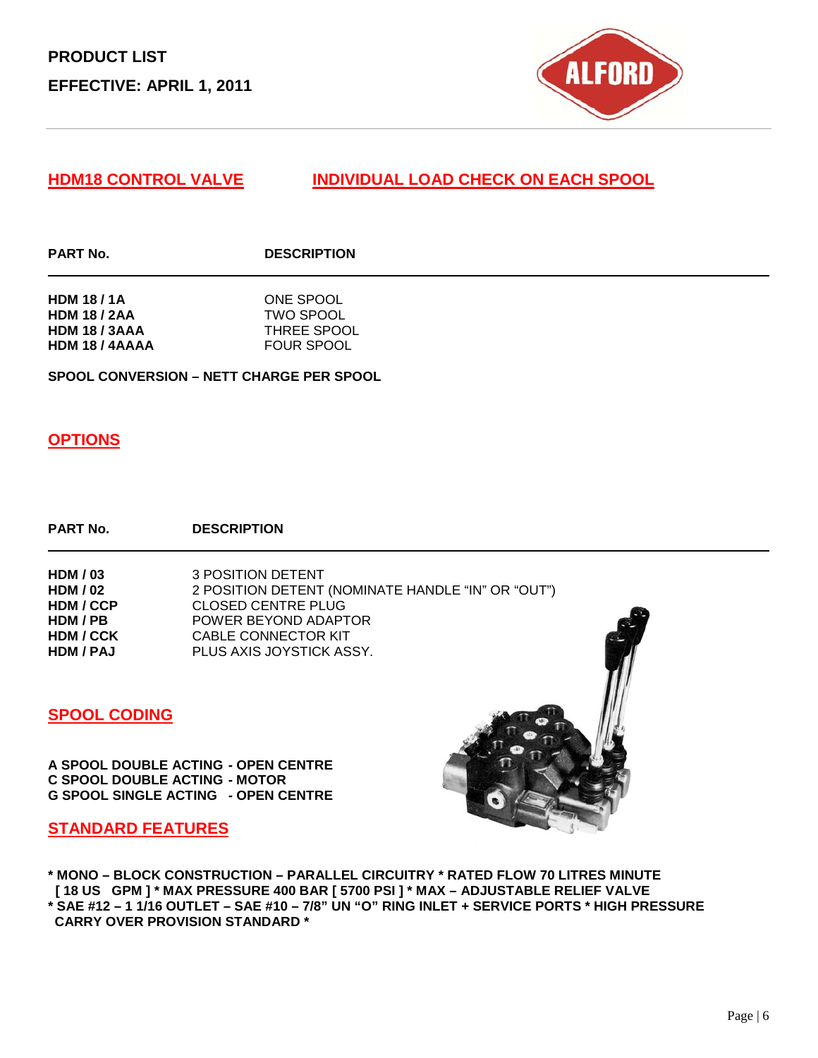

#### **HDM18 CONTROL VALVE INDIVIDUAL LOAD CHECK ON EACH SPOOL**

#### **PART No. DESCRIPTION**

| <b>HDM 18/1A</b>     | ONE SPOOL          |
|----------------------|--------------------|
| <b>HDM 18 / 2AA</b>  | TWO SPOOL          |
| <b>HDM 18 / 3AAA</b> | <b>THREE SPOOL</b> |
| HDM 18 / 4AAAA       | <b>FOUR SPOOL</b>  |

**SPOOL CONVERSION – NETT CHARGE PER SPOOL** 

#### **OPTIONS**

#### **PART No. DESCRIPTION**

**HDM / 03** 3 POSITION DETENT<br> **HDM / 02** 2 POSITION DETENT **HDM / 02** 2 POSITION DETENT (NOMINATE HANDLE "IN" OR "OUT")<br>**HDM / CCP** CLOSED CENTRE PLUG **HDM / CCP** CLOSED CENTRE PLUG<br>**HDM / PB** POWER BEYOND ADAPT **POWER BEYOND ADAPTOR HDM / CCK** CABLE CONNECTOR KIT<br>**HDM / PAJ** PLUS AXIS JOYSTICK AS PLUS AXIS JOYSTICK ASSY.

#### **SPOOL CODING**

**A SPOOL DOUBLE ACTING - OPEN CENTRE C SPOOL DOUBLE ACTING - MOTOR G SPOOL SINGLE ACTING - OPEN CENTRE**

#### **STANDARD FEATURES**

**\* MONO – BLOCK CONSTRUCTION – PARALLEL CIRCUITRY \* RATED FLOW 70 LITRES MINUTE [ 18 US GPM ] \* MAX PRESSURE 400 BAR [ 5700 PSI ] \* MAX – ADJUSTABLE RELIEF VALVE \* SAE #12 – 1 1/16 OUTLET – SAE #10 – 7/8" UN "O" RING INLET + SERVICE PORTS \* HIGH PRESSURE CARRY OVER PROVISION STANDARD \***

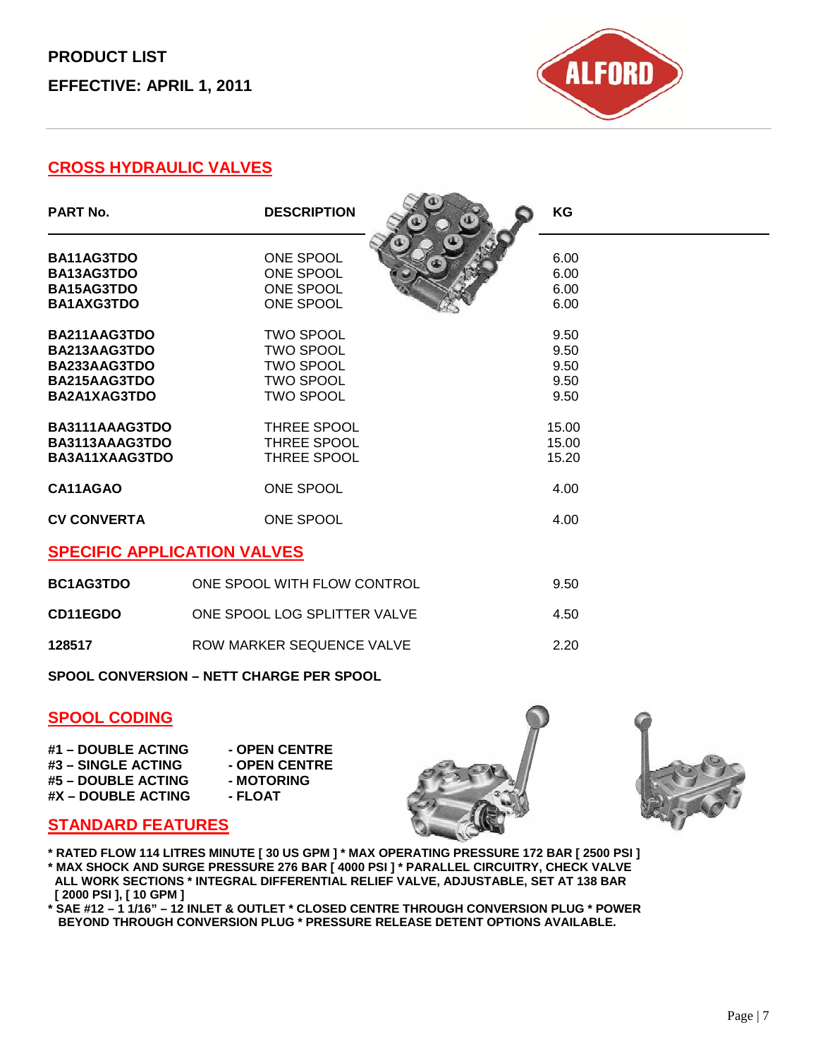## **PRODUCT LIST EFFECTIVE: APRIL 1, 2011**



### **CROSS HYDRAULIC VALVES**

| <b>PART No.</b>                                                              | <b>DESCRIPTION</b>                                                                               | KG                                   |  |
|------------------------------------------------------------------------------|--------------------------------------------------------------------------------------------------|--------------------------------------|--|
| BA11AG3TDO<br>BA13AG3TDO<br>BA15AG3TDO<br><b>BA1AXG3TDO</b>                  | ONE SPOOL<br>ONE SPOOL<br>ONE SPOOL<br>ONE SPOOL                                                 | 6.00<br>6.00<br>6.00<br>6.00         |  |
| BA211AAG3TDO<br>BA213AAG3TDO<br>BA233AAG3TDO<br>BA215AAG3TDO<br>BA2A1XAG3TDO | <b>TWO SPOOL</b><br><b>TWO SPOOL</b><br><b>TWO SPOOL</b><br><b>TWO SPOOL</b><br><b>TWO SPOOL</b> | 9.50<br>9.50<br>9.50<br>9.50<br>9.50 |  |
| BA3111AAAG3TDO<br>BA3113AAAG3TDO<br>BA3A11XAAG3TDO                           | THREE SPOOL<br>THREE SPOOL<br>THREE SPOOL                                                        | 15.00<br>15.00<br>15.20              |  |
| CA11AGAO<br><b>CV CONVERTA</b>                                               | ONE SPOOL<br>ONE SPOOL                                                                           | 4.00<br>4.00                         |  |
| <b>SPECIFIC APPLICATION VALVES</b>                                           |                                                                                                  |                                      |  |
| <b>BC1AG3TDO</b>                                                             | ONE SPOOL WITH FLOW CONTROL                                                                      | 9.50                                 |  |

**CD11EGDO** ONE SPOOL LOG SPLITTER VALVE 4.50 **128517 ROW MARKER SEQUENCE VALVE 2.20** 

**SPOOL CONVERSION – NETT CHARGE PER SPOOL** 

#### **SPOOL CODING**

| #1 - DOUBLE ACTING | - OPEN ( |
|--------------------|----------|
| #3 – SINGLE ACTING | - OPEN ( |
| #5 – DOUBLE ACTING | - MOTOI  |
| #X – DOUBLE ACTING | - FLOAT  |

**#1 – DOUBLE ACTING - OPEN CENTRE #3 – SINGLE ACTING - OPEN CENTRE #5 – DOUBLE ACTING - MOTORING**





### **STANDARD FEATURES**

- **\* RATED FLOW 114 LITRES MINUTE [ 30 US GPM ] \* MAX OPERATING PRESSURE 172 BAR [ 2500 PSI ] \* MAX SHOCK AND SURGE PRESSURE 276 BAR [ 4000 PSI ] \* PARALLEL CIRCUITRY, CHECK VALVE ALL WORK SECTIONS \* INTEGRAL DIFFERENTIAL RELIEF VALVE, ADJUSTABLE, SET AT 138 BAR [ 2000 PSI ], [ 10 GPM ]**
- **\* SAE #12 – 1 1/16" – 12 INLET & OUTLET \* CLOSED CENTRE THROUGH CONVERSION PLUG \* POWER BEYOND THROUGH CONVERSION PLUG \* PRESSURE RELEASE DETENT OPTIONS AVAILABLE.**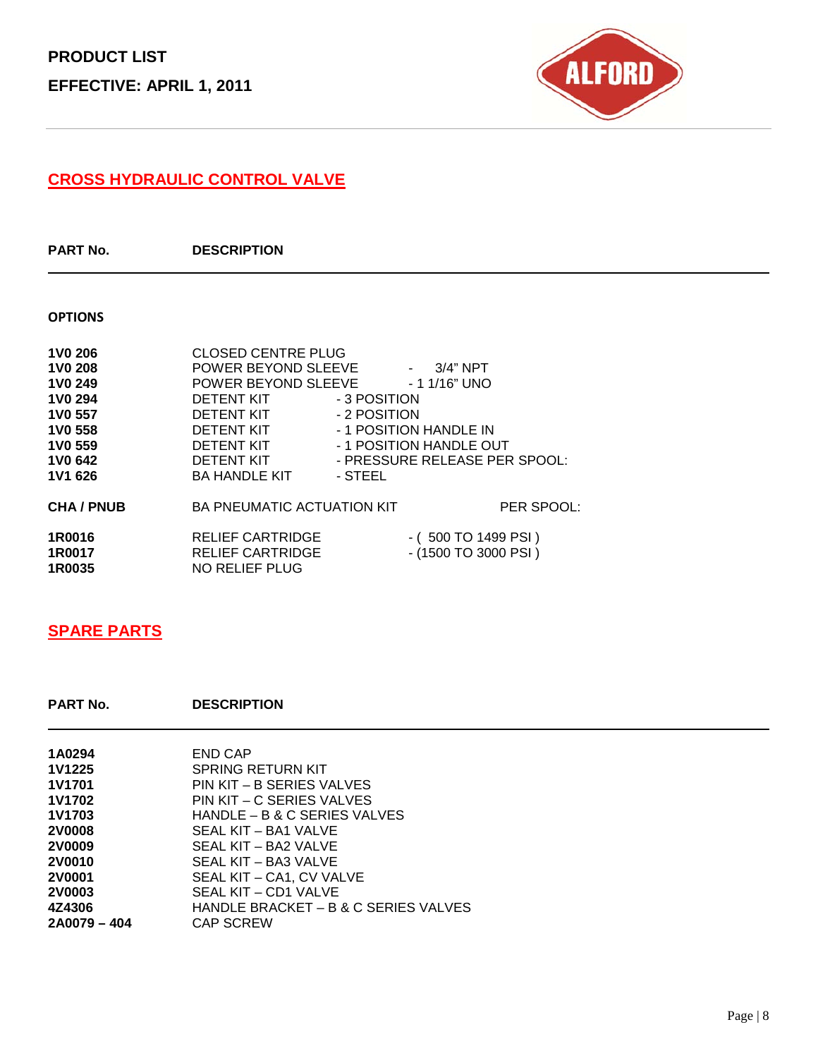

### **CROSS HYDRAULIC CONTROL VALVE**

**PART No. DESCRIPTION**

#### **OPTIONS**

| <b>1V0 206</b>  | <b>CLOSED CENTRE PLUG</b>                        |
|-----------------|--------------------------------------------------|
| <b>1V0 208</b>  | POWER BEYOND SLEEVE<br>$-3/4" NPT$               |
| <b>1V0 249</b>  | POWER BEYOND SLEEVE<br>- 1 1/16" UNO             |
| <b>1V0 294</b>  | - 3 POSITION<br>DETENT KIT                       |
| <b>1V0 557</b>  | - 2 POSITION<br>DETENT KIT                       |
| <b>1V0 558</b>  | - 1 POSITION HANDLE IN<br>DETENT KIT             |
| <b>1V0 559</b>  | - 1 POSITION HANDLE OUT<br>DETENT KIT            |
| 1V0 642         | - PRESSURE RELEASE PER SPOOL:<br>DETENT KIT      |
| 1V1 626         | <b>BA HANDLE KIT</b><br>- STEEL                  |
| <b>CHA/PNUB</b> | <b>BA PNEUMATIC ACTUATION KIT</b><br>PER SPOOL:  |
| 1R0016          | <b>RELIEF CARTRIDGE</b><br>$-(500 TO 1499 PSI)$  |
| 1R0017          | <b>RELIEF CARTRIDGE</b><br>$-(1500 TO 3000 PSI)$ |
| 1R0035          | NO RELIEF PLUG                                   |

### **SPARE PARTS**

**PART No. DESCRIPTION**

| 1A0294        | END CAP                              |
|---------------|--------------------------------------|
| <b>1V1225</b> | SPRING RETURN KIT                    |
| <b>1V1701</b> | PIN KIT – B SERIES VALVES            |
| 1V1702        | PIN KIT – C SERIES VALVES            |
| 1V1703        | HANDLE – B & C SERIES VALVES         |
| <b>2V0008</b> | SEAL KIT - BA1 VALVE                 |
| <b>2V0009</b> | SEAL KIT – BA2 VALVE                 |
| <b>2V0010</b> | SEAL KIT – BA3 VALVE                 |
| <b>2V0001</b> | SEAL KIT – CA1, CV VALVE             |
| <b>2V0003</b> | SEAL KIT – CD1 VALVE                 |
| 4Z4306        | HANDLE BRACKET – B & C SERIES VALVES |
| 2A0079 - 404  | <b>CAP SCREW</b>                     |
|               |                                      |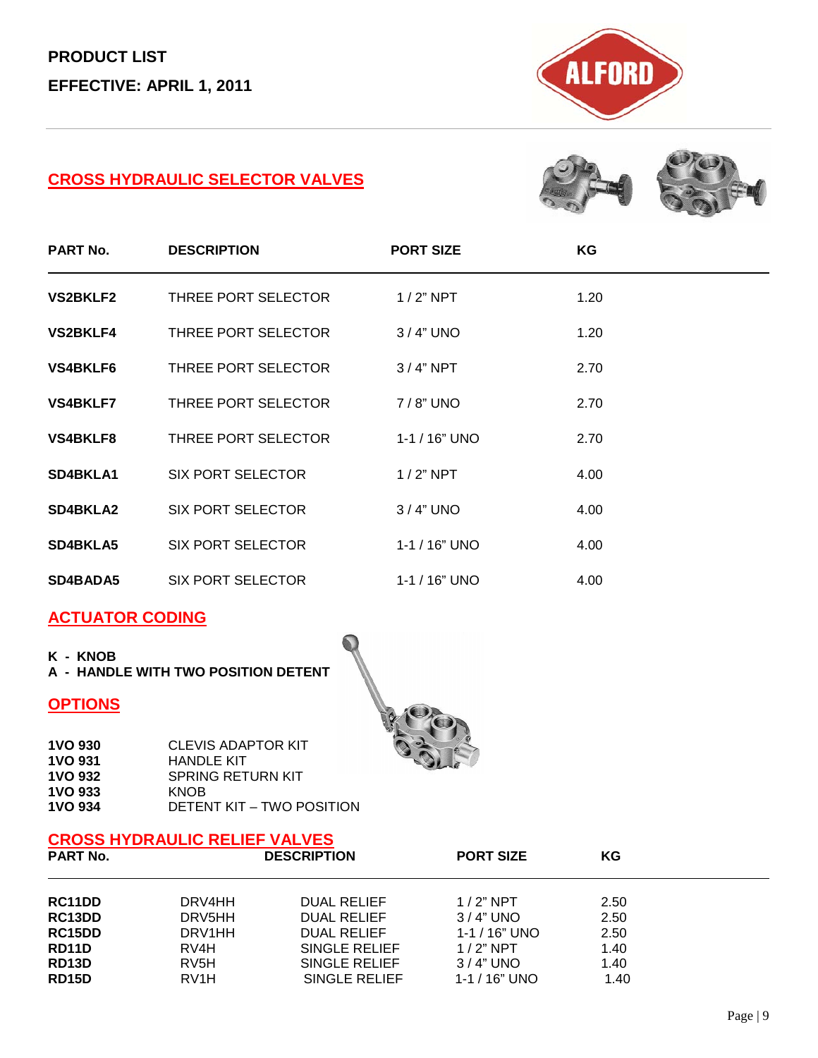

### **CROSS HYDRAULIC SELECTOR VALVES**



| <b>PART No.</b> | <b>DESCRIPTION</b>       | <b>PORT SIZE</b>   | ΚG   |
|-----------------|--------------------------|--------------------|------|
| <b>VS2BKLF2</b> | THREE PORT SELECTOR      | $1/2$ " NPT        | 1.20 |
| <b>VS2BKLF4</b> | THREE PORT SELECTOR      | $3/4"$ UNO         | 1.20 |
| VS4BKLF6        | THREE PORT SELECTOR      | $3/4"$ NPT         | 2.70 |
| <b>VS4BKLF7</b> | THREE PORT SELECTOR      | 7/8" UNO           | 2.70 |
| <b>VS4BKLF8</b> | THREE PORT SELECTOR      | $1 - 1 / 16$ " UNO | 2.70 |
| SD4BKLA1        | <b>SIX PORT SELECTOR</b> | $1/2$ " NPT        | 4.00 |
| <b>SD4BKLA2</b> | SIX PORT SELECTOR        | $3/4"$ UNO         | 4.00 |
| <b>SD4BKLA5</b> | <b>SIX PORT SELECTOR</b> | $1 - 1 / 16$ " UNO | 4.00 |
| SD4BADA5        | SIX PORT SELECTOR        | $1 - 1 / 16$ " UNO | 4.00 |

#### **ACTUATOR CODING**

**K - KNOB**

**A - HANDLE WITH TWO POSITION DETENT**

#### **OPTIONS**



# **CROSS HYDRAULIC RELIEF VALVES**

| <b>PART No.</b>                   | <b>DESCRIPTION</b>           | <b>PORT SIZE</b>   | ΚG   |
|-----------------------------------|------------------------------|--------------------|------|
| RC11DD                            | <b>DUAL RELIEF</b><br>DRV4HH | $1/2$ " NPT        | 2.50 |
| RC13DD                            | DRV5HH<br><b>DUAL RELIEF</b> | $3/4"$ UNO         | 2.50 |
| RC <sub>15</sub> D <sub>D</sub>   | DRV1HH<br><b>DUAL RELIEF</b> | $1 - 1 / 16$ " UNO | 2.50 |
| RD <sub>11</sub> D<br>RV4H        | SINGLE RELIEF                | $1/2$ " NPT        | 1.40 |
| RD13D<br>RV <sub>5</sub> H        | SINGLE RELIEF                | $3/4"$ UNO         | 1.40 |
| <b>RD15D</b><br>RV <sub>1</sub> H | SINGLE RELIEF                | 1-1 / 16" UNO      | 1.40 |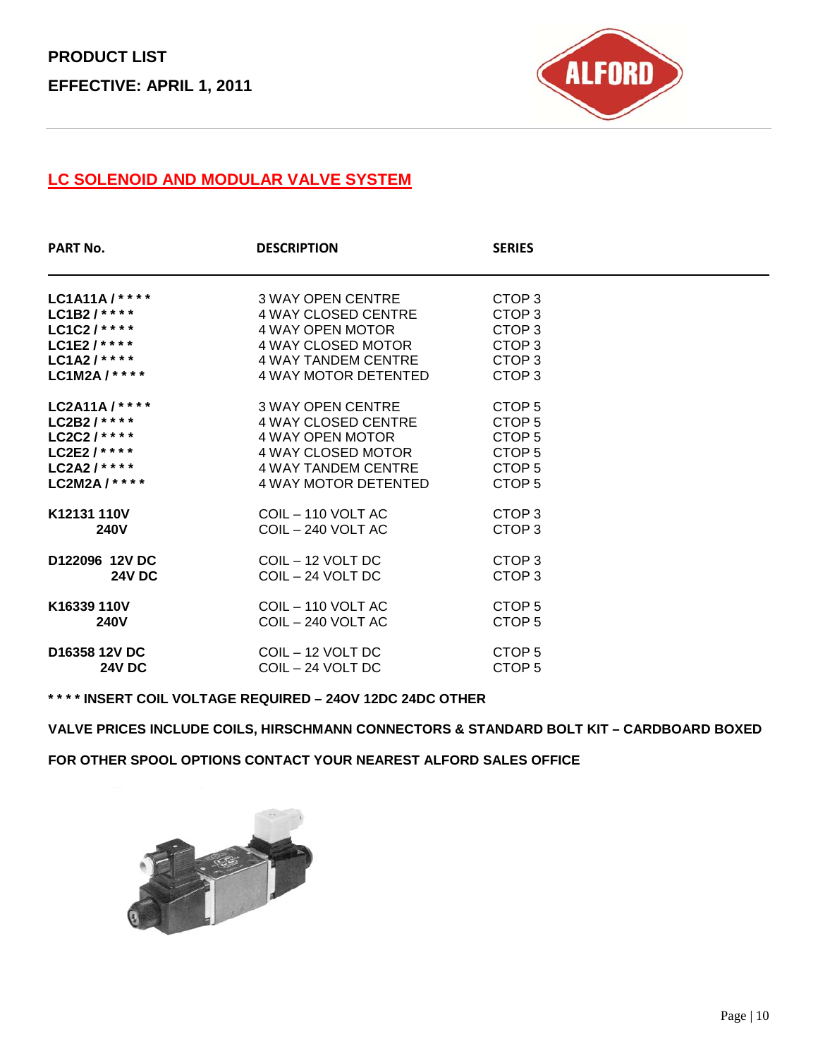

### **LC SOLENOID AND MODULAR VALVE SYSTEM**

| <b>PART No.</b>           | <b>DESCRIPTION</b>         | <b>SERIES</b>     |  |
|---------------------------|----------------------------|-------------------|--|
| LC1A11A/****              | 3 WAY OPEN CENTRE          | CTOP <sub>3</sub> |  |
| LC1B2/****                | 4 WAY CLOSED CENTRE        | CTOP <sub>3</sub> |  |
| LC1C2/****                | 4 WAY OPEN MOTOR           | CTOP <sub>3</sub> |  |
| LC1E2/****                | 4 WAY CLOSED MOTOR         | CTOP <sub>3</sub> |  |
| $LC1A2/***$               | 4 WAY TANDEM CENTRE        | CTOP <sub>3</sub> |  |
| LC1M2A / * * * *          | 4 WAY MOTOR DETENTED       | CTOP <sub>3</sub> |  |
| LC2A11A/****              | 3 WAY OPEN CENTRE          | CTOP <sub>5</sub> |  |
| LC2B2/****                | <b>4 WAY CLOSED CENTRE</b> | CTOP <sub>5</sub> |  |
| LC2C2/****                | 4 WAY OPEN MOTOR           | CTOP <sub>5</sub> |  |
| LC2E2 / * * * *           | 4 WAY CLOSED MOTOR         | CTOP <sub>5</sub> |  |
| $LC2A2$ /****             | 4 WAY TANDEM CENTRE        | CTOP <sub>5</sub> |  |
| LC2M2A / * * * *          | 4 WAY MOTOR DETENTED       | CTOP <sub>5</sub> |  |
| K12131 110V               | COIL - 110 VOLT AC         | CTOP <sub>3</sub> |  |
| <b>240V</b>               | COIL - 240 VOLT AC         | CTOP <sub>3</sub> |  |
| D122096 12V DC            | COIL - 12 VOLT DC          | CTOP <sub>3</sub> |  |
| <b>24V DC</b>             | $COL - 24 VOLT$ DC         | CTOP <sub>3</sub> |  |
| K16339 110V               | $COL - 110 VOLT AC$        | CTOP <sub>5</sub> |  |
| <b>240V</b>               | COIL - 240 VOLT AC         | CTOP <sub>5</sub> |  |
| D <sub>16358</sub> 12V DC | COIL - 12 VOLT DC          | CTOP <sub>5</sub> |  |
| <b>24V DC</b>             | COIL - 24 VOLT DC          | CTOP <sub>5</sub> |  |

**\* \* \* \* INSERT COIL VOLTAGE REQUIRED – 24OV 12DC 24DC OTHER**

**VALVE PRICES INCLUDE COILS, HIRSCHMANN CONNECTORS & STANDARD BOLT KIT – CARDBOARD BOXED**

**FOR OTHER SPOOL OPTIONS CONTACT YOUR NEAREST ALFORD SALES OFFICE**

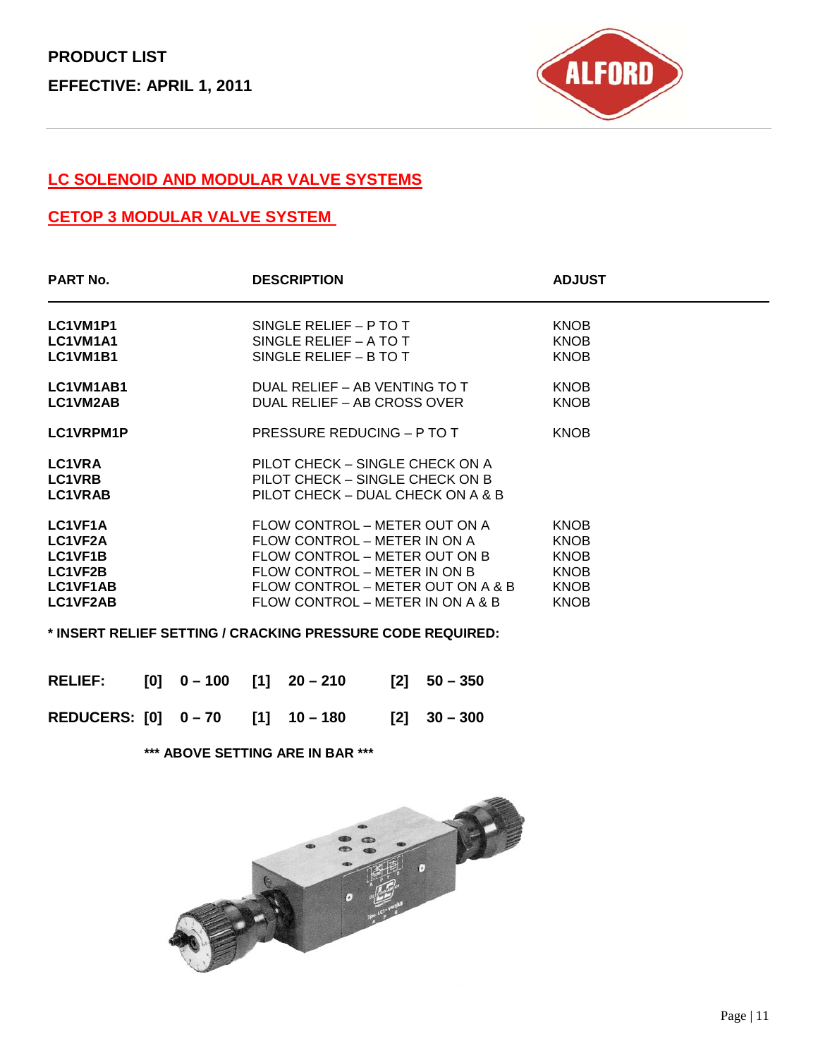

### **LC SOLENOID AND MODULAR VALVE SYSTEMS**

### **CETOP 3 MODULAR VALVE SYSTEM**

| <b>PART No.</b>                                                  | <b>DESCRIPTION</b>                                                                                                                                                                                      | <b>ADJUST</b>                                                                          |
|------------------------------------------------------------------|---------------------------------------------------------------------------------------------------------------------------------------------------------------------------------------------------------|----------------------------------------------------------------------------------------|
| LC1VM1P1<br>LC1VM1A1<br>LC1VM1B1                                 | SINGLE RELIEF - P TO T<br>SINGLE RELIEF $-$ A TO T<br>SINGLE RELIEF $-$ B TO T                                                                                                                          | <b>KNOB</b><br><b>KNOB</b><br><b>KNOB</b>                                              |
| LC1VM1AB1<br>LC1VM2AB                                            | DUAL RELIEF – AB VENTING TO T<br>DUAL RELIEF - AB CROSS OVER                                                                                                                                            | <b>KNOB</b><br><b>KNOB</b>                                                             |
| LC1VRPM1P                                                        | PRESSURE REDUCING - P TO T                                                                                                                                                                              | <b>KNOB</b>                                                                            |
| <b>LC1VRA</b><br><b>LC1VRB</b><br><b>LC1VRAB</b>                 | PILOT CHECK – SINGLE CHECK ON A<br>PILOT CHECK - SINGLE CHECK ON B<br>PILOT CHECK - DUAL CHECK ON A & B                                                                                                 |                                                                                        |
| LC1VF1A<br>LC1VF2A<br>LC1VF1B<br>LC1VF2B<br>LC1VF1AB<br>LC1VF2AB | FLOW CONTROL – METER OUT ON A<br>FLOW CONTROL – METER IN ON A<br>FLOW CONTROL – METER OUT ON B<br>FLOW CONTROL – METER IN ON B<br>FLOW CONTROL – METER OUT ON A & B<br>FLOW CONTROL – METER IN ON A & B | <b>KNOB</b><br><b>KNOB</b><br><b>KNOB</b><br><b>KNOB</b><br><b>KNOB</b><br><b>KNOB</b> |
|                                                                  |                                                                                                                                                                                                         |                                                                                        |

**\* INSERT RELIEF SETTING / CRACKING PRESSURE CODE REQUIRED:**

| RELIEF: [0] 0-100 [1] 20-210  |  |  | $[2] 50 - 350$ |
|-------------------------------|--|--|----------------|
| REDUCERS: [0] 0-70 [1] 10-180 |  |  | $[2]$ 30 – 300 |

**\*\*\* ABOVE SETTING ARE IN BAR \*\*\***

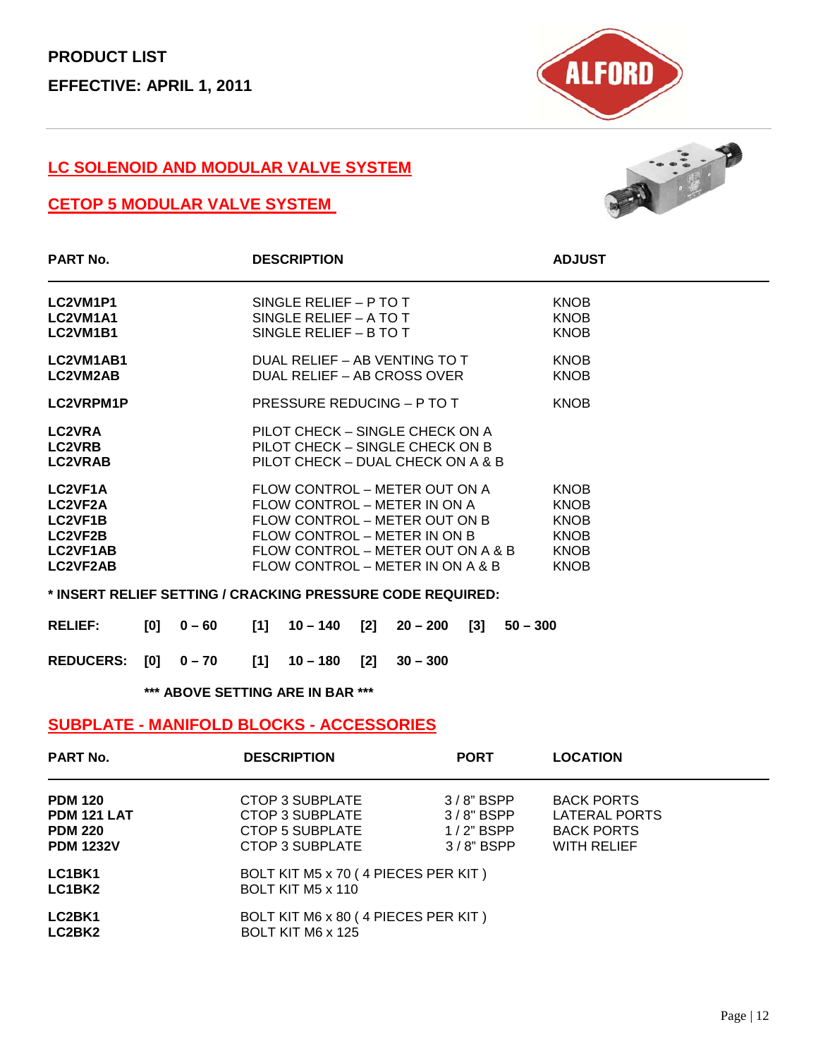

#### **LC SOLENOID AND MODULAR VALVE SYSTEM**

### **CETOP 5 MODULAR VALVE SYSTEM**



| <b>PART No.</b>                                                                                          |                 | <b>DESCRIPTION</b>                                                                                                                                                                                      | <b>ADJUST</b>                                                                          |
|----------------------------------------------------------------------------------------------------------|-----------------|---------------------------------------------------------------------------------------------------------------------------------------------------------------------------------------------------------|----------------------------------------------------------------------------------------|
| LC2VM1P1<br>LC2VM1A1<br>LC2VM1B1                                                                         |                 | SINGLE RELIEF - P TO T<br>SINGLE RELIEF – A TO T<br>SINGLE RELIEF - B TO T                                                                                                                              | <b>KNOB</b><br><b>KNOB</b><br><b>KNOB</b>                                              |
| LC2VM1AB1<br>LC2VM2AB                                                                                    |                 | DUAL RELIEF - AB VENTING TO T<br>DUAL RELIEF – AB CROSS OVER                                                                                                                                            | <b>KNOB</b><br><b>KNOB</b>                                                             |
| LC2VRPM1P                                                                                                |                 | PRESSURE REDUCING - P TO T                                                                                                                                                                              | <b>KNOB</b>                                                                            |
| <b>LC2VRA</b><br><b>LC2VRB</b><br><b>LC2VRAB</b>                                                         |                 | PILOT CHECK – SINGLE CHECK ON A<br>PILOT CHECK – SINGLE CHECK ON B<br>PILOT CHECK - DUAL CHECK ON A & B                                                                                                 |                                                                                        |
| LC <sub>2VF1A</sub><br><b>LC2VF2A</b><br><b>LC2VF1B</b><br><b>LC2VF2B</b><br><b>LC2VF1AB</b><br>LC2VF2AB |                 | FLOW CONTROL – METER OUT ON A<br>FLOW CONTROL – METER IN ON A<br>FLOW CONTROL – METER OUT ON B<br>FLOW CONTROL – METER IN ON B<br>FLOW CONTROL – METER OUT ON A & B<br>FLOW CONTROL - METER IN ON A & B | <b>KNOB</b><br><b>KNOB</b><br><b>KNOB</b><br><b>KNOB</b><br><b>KNOB</b><br><b>KNOB</b> |
|                                                                                                          |                 | * INSERT RELIEF SETTING / CRACKING PRESSURE CODE REQUIRED:                                                                                                                                              |                                                                                        |
| <b>RELIEF:</b>                                                                                           | [0]<br>$0 - 60$ | [2]<br>[1]<br>$10 - 140$<br>$20 - 200$                                                                                                                                                                  | $\left[3\right]$<br>$50 - 300$                                                         |

**REDUCERS: [0] 0 – 70 [1] 10 – 180 [2] 30 – 300**

**\*\*\* ABOVE SETTING ARE IN BAR \*\*\***

#### **SUBPLATE - MANIFOLD BLOCKS - ACCESSORIES**

| <b>PART No.</b>    | <b>DESCRIPTION</b>                  | <b>PORT</b>  | <b>LOCATION</b>      |
|--------------------|-------------------------------------|--------------|----------------------|
| <b>PDM 120</b>     | CTOP 3 SUBPLATE                     | $3/8$ " BSPP | <b>BACK PORTS</b>    |
| <b>PDM 121 LAT</b> | CTOP 3 SUBPLATE                     | $3/8"$ BSPP  | <b>LATERAL PORTS</b> |
| <b>PDM 220</b>     | CTOP 5 SUBPLATE                     | $1/2$ " BSPP | <b>BACK PORTS</b>    |
| <b>PDM 1232V</b>   | CTOP 3 SUBPLATE                     | $3/8$ " BSPP | WITH RELIEF          |
| LC1BK1             | BOLT KIT M5 x 70 (4 PIECES PER KIT) |              |                      |
| LC1BK2             | BOLT KIT M5 x 110                   |              |                      |
| LC2BK1             | BOLT KIT M6 x 80 (4 PIECES PER KIT) |              |                      |
| LC2BK2             | BOLT KIT M6 x 125                   |              |                      |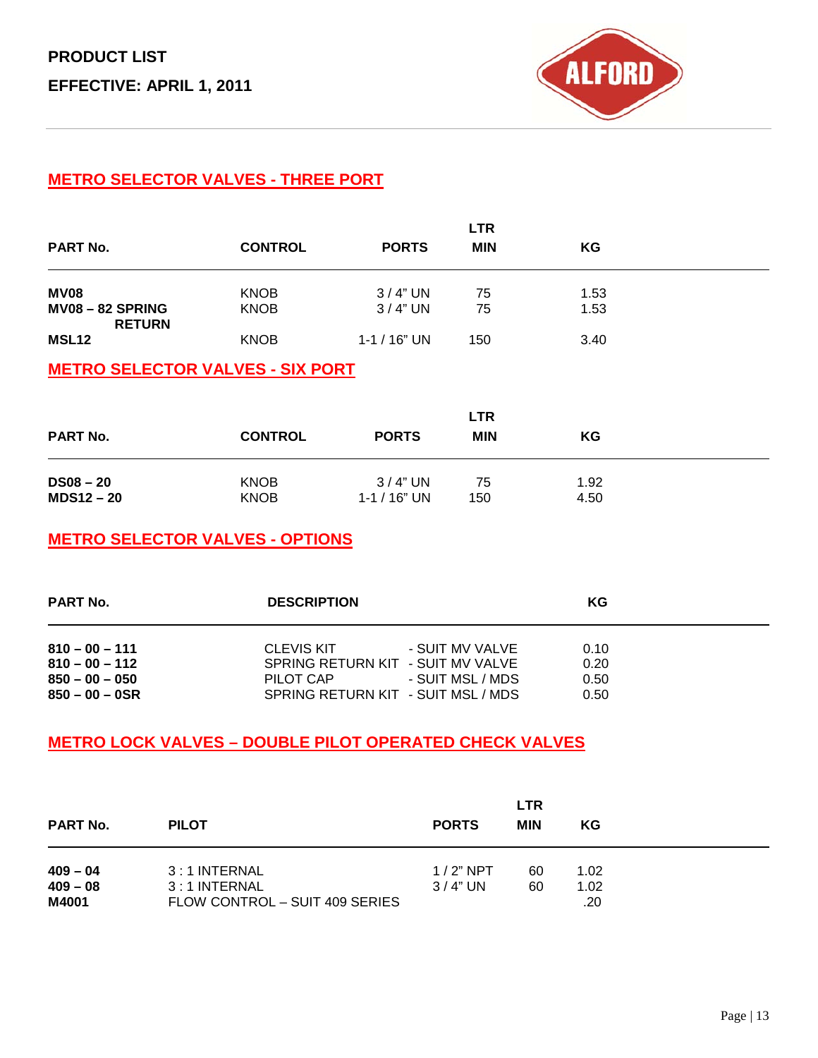

### **METRO SELECTOR VALVES - THREE PORT**

| <b>PART No.</b>       | <b>CONTROL</b> | <b>PORTS</b>      | <b>LTR</b><br><b>MIN</b> | ΚG   |  |
|-----------------------|----------------|-------------------|--------------------------|------|--|
| <b>MV08</b>           | <b>KNOB</b>    | $3/4"$ UN         | 75                       | 1.53 |  |
| <b>MV08-82 SPRING</b> | <b>KNOB</b>    | $3/4"$ UN         | 75                       | 1.53 |  |
| <b>RETURN</b>         |                |                   |                          |      |  |
| <b>MSL12</b>          | <b>KNOB</b>    | $1 - 1 / 16$ " UN | 150                      | 3.40 |  |

### **METRO SELECTOR VALVES - SIX PORT**

| <b>PART No.</b> | <b>CONTROL</b> | <b>PORTS</b>     | <b>LTR</b><br><b>MIN</b> | KG   |
|-----------------|----------------|------------------|--------------------------|------|
| $DS08-20$       | <b>KNOB</b>    | $3/4"$ UN        | 75                       | 1.92 |
| $MDS12-20$      | <b>KNOB</b>    | $1 - 1 / 16" UN$ | 150                      | 4.50 |

### **METRO SELECTOR VALVES - OPTIONS**

| <b>PART No.</b>                                                               | <b>DESCRIPTION</b>                                                                                                                               | KG                           |  |
|-------------------------------------------------------------------------------|--------------------------------------------------------------------------------------------------------------------------------------------------|------------------------------|--|
| $810 - 00 - 111$<br>$810 - 00 - 112$<br>$850 - 00 - 050$<br>$850 - 00 - 0$ SR | <b>CLEVIS KIT</b><br>- SUIT MV VALVE<br>SPRING RETURN KIT - SUIT MV VALVE<br>- SUIT MSL / MDS<br>PILOT CAP<br>SPRING RETURN KIT - SUIT MSL / MDS | 0.10<br>0.20<br>0.50<br>0.50 |  |

### **METRO LOCK VALVES – DOUBLE PILOT OPERATED CHECK VALVES**

| <b>PART No.</b>                   | <b>PILOT</b>                                                     | <b>PORTS</b>             | <b>LTR</b><br><b>MIN</b> | KG                  |  |
|-----------------------------------|------------------------------------------------------------------|--------------------------|--------------------------|---------------------|--|
| $409 - 04$<br>$409 - 08$<br>M4001 | 3:1 INTERNAL<br>$3:1$ INTERNAL<br>FLOW CONTROL - SUIT 409 SERIES | $1/2$ " NPT<br>$3/4"$ UN | 60<br>60                 | 1.02<br>1.02<br>.20 |  |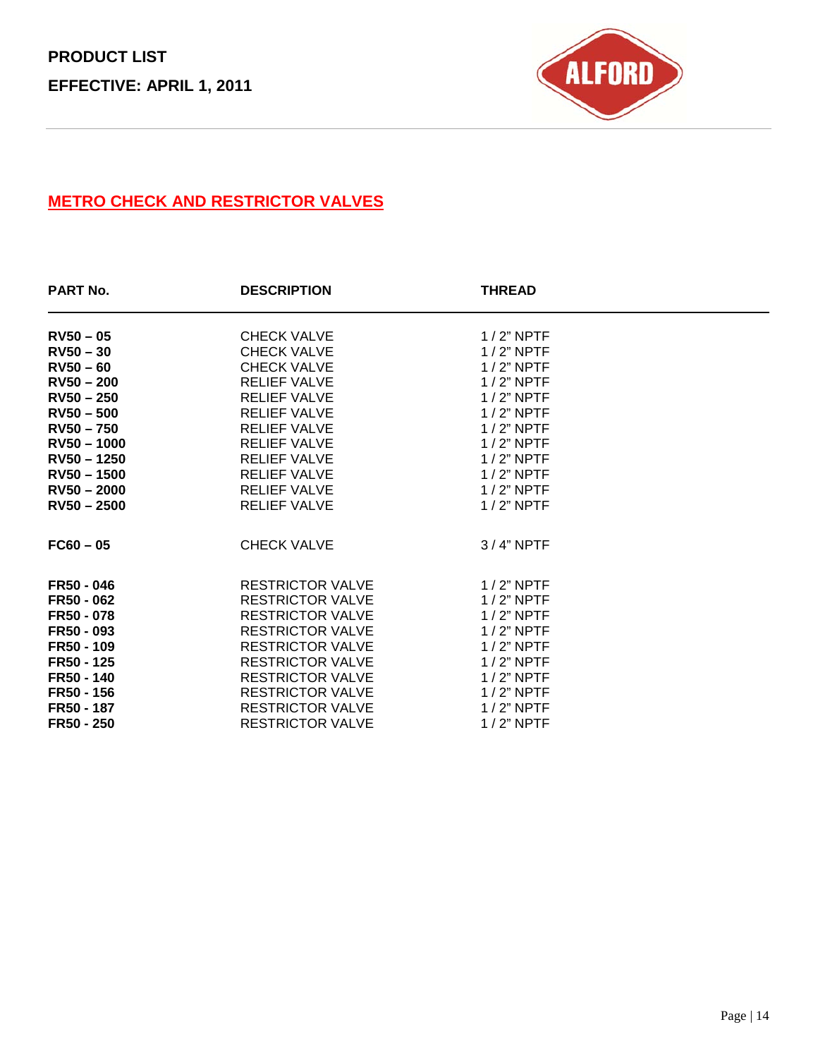

### **METRO CHECK AND RESTRICTOR VALVES**

| <b>PART No.</b> | <b>DESCRIPTION</b>      | <b>THREAD</b> |  |
|-----------------|-------------------------|---------------|--|
| $RV50 - 05$     | <b>CHECK VALVE</b>      | $1/2$ " NPTF  |  |
| $RV50 - 30$     | <b>CHECK VALVE</b>      | $1/2$ " NPTF  |  |
| $RV50 - 60$     | <b>CHECK VALVE</b>      | $1/2$ " NPTF  |  |
| $RV50 - 200$    | <b>RELIEF VALVE</b>     | $1/2$ " NPTF  |  |
| $RV50 - 250$    | <b>RELIEF VALVE</b>     | $1/2$ " NPTF  |  |
| $RV50 - 500$    | <b>RELIEF VALVE</b>     | $1/2$ " NPTF  |  |
| $RV50 - 750$    | <b>RELIEF VALVE</b>     | $1/2$ " NPTF  |  |
| $RV50 - 1000$   | <b>RELIEF VALVE</b>     | $1/2$ " NPTF  |  |
| $RV50 - 1250$   | <b>RELIEF VALVE</b>     | $1/2$ " NPTF  |  |
| $RV50 - 1500$   | <b>RELIEF VALVE</b>     | $1/2$ " NPTF  |  |
| $RV50 - 2000$   | <b>RELIEF VALVE</b>     | $1/2$ " NPTF  |  |
| $RV50 - 2500$   | <b>RELIEF VALVE</b>     | $1/2$ " NPTF  |  |
| $FC60 - 05$     | CHECK VALVE             | $3/4"$ NPTF   |  |
| FR50 - 046      | <b>RESTRICTOR VALVE</b> | $1/2$ " NPTF  |  |
| FR50 - 062      | <b>RESTRICTOR VALVE</b> | $1/2$ " NPTF  |  |
| FR50 - 078      | <b>RESTRICTOR VALVE</b> | $1/2$ " NPTF  |  |
| FR50 - 093      | <b>RESTRICTOR VALVE</b> | $1/2$ " NPTF  |  |
| FR50 - 109      | <b>RESTRICTOR VALVE</b> | $1/2$ " NPTF  |  |
| FR50 - 125      | <b>RESTRICTOR VALVE</b> | $1/2$ " NPTF  |  |
| FR50 - 140      | <b>RESTRICTOR VALVE</b> | $1/2$ " NPTF  |  |
| FR50 - 156      | <b>RESTRICTOR VALVE</b> | $1/2$ " NPTF  |  |
| FR50 - 187      | <b>RESTRICTOR VALVE</b> | $1/2$ " NPTF  |  |
| FR50 - 250      | <b>RESTRICTOR VALVE</b> | $1/2$ " NPTF  |  |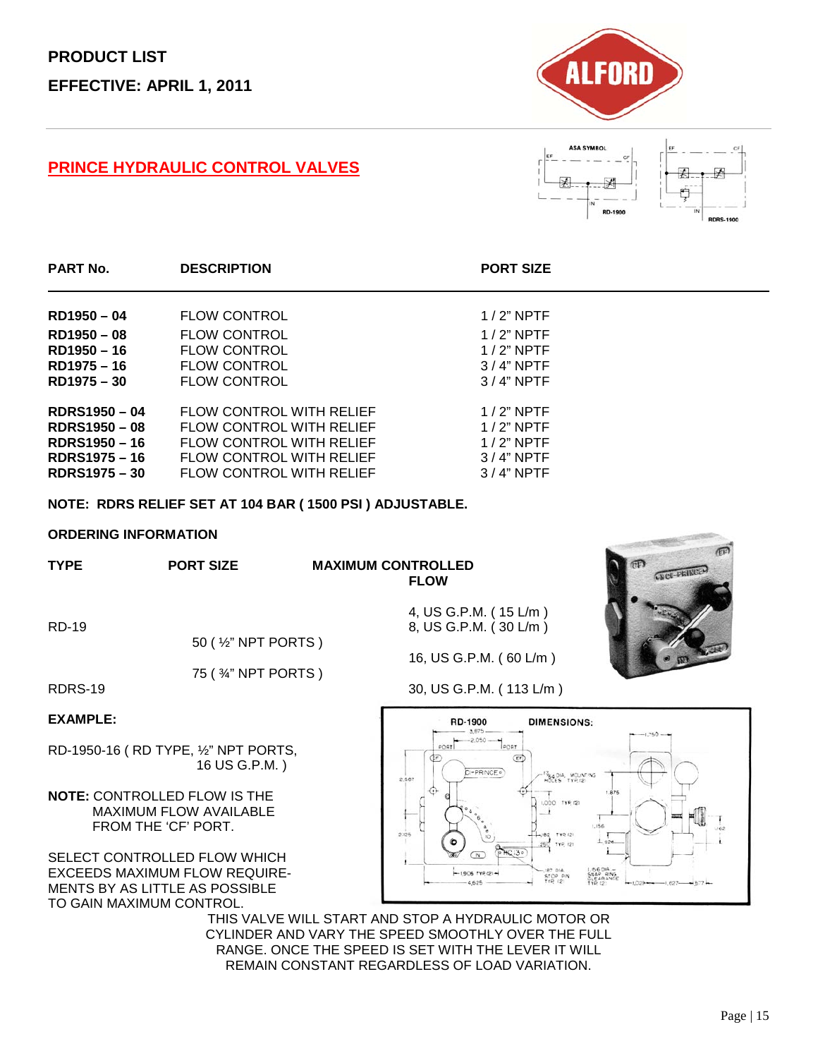#### **PRINCE HYDRAULIC CONTROL VALVES**





| <b>PART No.</b>      | <b>DESCRIPTION</b>              | <b>PORT SIZE</b> |
|----------------------|---------------------------------|------------------|
| RD1950-04            | <b>FLOW CONTROL</b>             | $1/2$ " NPTF     |
| RD1950-08            | <b>FLOW CONTROL</b>             | $1/2$ " NPTF     |
| RD1950 - 16          | <b>FLOW CONTROL</b>             | $1/2$ " NPTF     |
| RD1975 - 16          | <b>FLOW CONTROL</b>             | $3/4"$ NPTF      |
| RD1975 - 30          | <b>FLOW CONTROL</b>             | $3/4"$ NPTF      |
| <b>RDRS1950-04</b>   | <b>FLOW CONTROL WITH RELIEF</b> | $1/2$ " NPTF     |
| <b>RDRS1950 - 08</b> | FLOW CONTROL WITH RELIEF        | $1/2$ " NPTF     |
| RDRS1950 - 16        | <b>FLOW CONTROL WITH RELIEF</b> | $1/2$ " NPTF     |
| <b>RDRS1975-16</b>   | FLOW CONTROL WITH RELIEF        | $3/4"$ NPTF      |
| <b>RDRS1975 - 30</b> | <b>FLOW CONTROL WITH RELIEF</b> | $3/4"$ NPTF      |

**NOTE: RDRS RELIEF SET AT 104 BAR ( 1500 PSI ) ADJUSTABLE.**

#### **ORDERING INFORMATION**

| <b>TYPE</b> | <b>PORT SIZE</b> | <b>MAXII</b> |
|-------------|------------------|--------------|
|             |                  |              |

#### **MUM CONTROLLED FLOW**

4, US G.P.M. ( 15 L/m )

16, US G.P.M. ( 60 L/m )

RD-19 8, US G.P.M. (30 L/m )

50 ( ½" NPT PORTS )

75 ( ¾" NPT PORTS )

RDRS-19 30, US G.P.M. (113 L/m)

#### **EXAMPLE:**

RD-1950-16 ( RD TYPE, ½" NPT PORTS, 16 US G.P.M. )

**NOTE:** CONTROLLED FLOW IS THE MAXIMUM FLOW AVAILABLE FROM THE 'CF' PORT.

SELECT CONTROLLED FLOW WHICH EXCEEDS MAXIMUM FLOW REQUIRE-MENTS BY AS LITTLE AS POSSIBLE TO GAIN MAXIMUM CONTROL.



THIS VALVE WILL START AND STOP A HYDRAULIC MOTOR OR CYLINDER AND VARY THE SPEED SMOOTHLY OVER THE FULL RANGE. ONCE THE SPEED IS SET WITH THE LEVER IT WILL REMAIN CONSTANT REGARDLESS OF LOAD VARIATION.

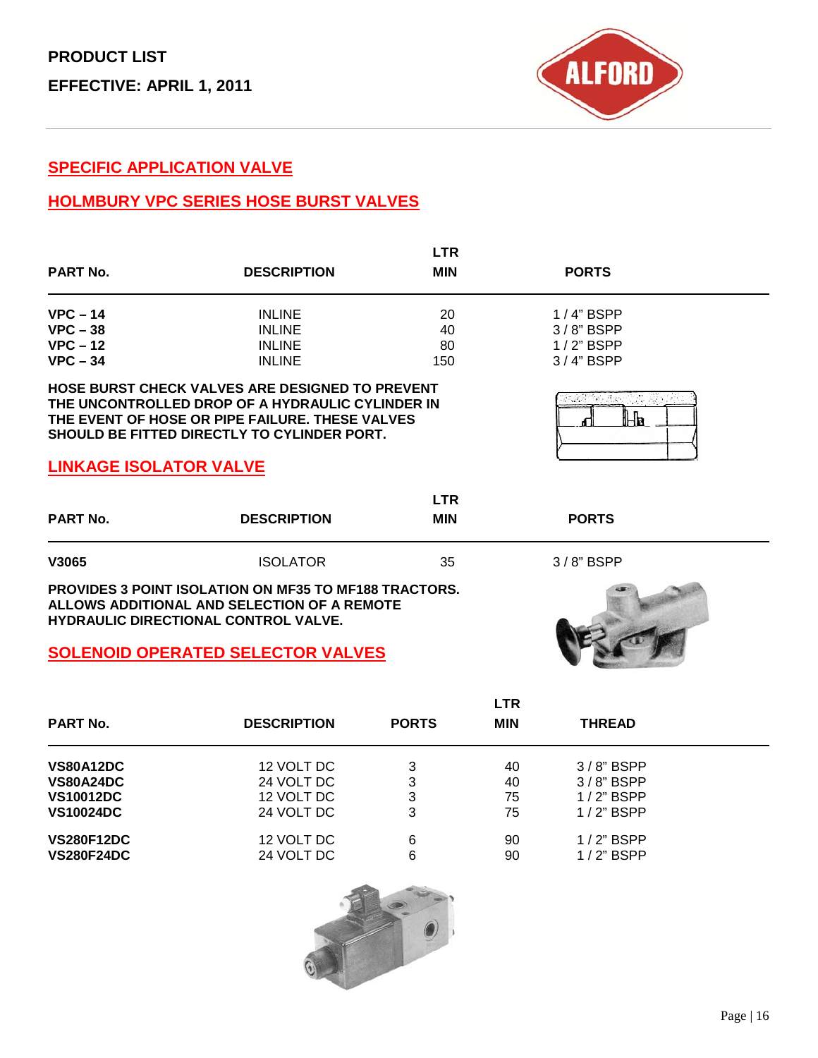

**3/8"** BSPP

#### **SPECIFIC APPLICATION VALVE**

### **HOLMBURY VPC SERIES HOSE BURST VALVES**

| <b>PART No.</b>                                      | <b>DESCRIPTION</b>                                                                                                                                                                                                  | <b>LTR</b><br><b>MIN</b> | <b>PORTS</b>                                                 |
|------------------------------------------------------|---------------------------------------------------------------------------------------------------------------------------------------------------------------------------------------------------------------------|--------------------------|--------------------------------------------------------------|
| $VPC - 14$<br>$VPC - 38$<br>$VPC - 12$<br>$VPC - 34$ | <b>INLINE</b><br><b>INLINE</b><br><b>INLINE</b><br><b>INLINE</b>                                                                                                                                                    | 20<br>40<br>80<br>150    | $1/4$ " BSPP<br>$3/8$ " BSPP<br>$1/2$ " BSPP<br>$3/4$ " BSPP |
| <b>LINKAGE ISOLATOR VALVE</b>                        | <b>HOSE BURST CHECK VALVES ARE DESIGNED TO PREVENT</b><br>THE UNCONTROLLED DROP OF A HYDRAULIC CYLINDER IN<br>THE EVENT OF HOSE OR PIPE FAILURE. THESE VALVES<br><b>SHOULD BE FITTED DIRECTLY TO CYLINDER PORT.</b> |                          | HВ                                                           |
| <b>PART No.</b>                                      | <b>DESCRIPTION</b>                                                                                                                                                                                                  | <b>LTR</b><br><b>MIN</b> | <b>PORTS</b>                                                 |

| V3065 | <b>ISOLATOR</b> | 35 |
|-------|-----------------|----|
|       |                 |    |

**PROVIDES 3 POINT ISOLATION ON MF35 TO MF188 TRACTORS. ALLOWS ADDITIONAL AND SELECTION OF A REMOTE HYDRAULIC DIRECTIONAL CONTROL VALVE.**

#### **SOLENOID OPERATED SELECTOR VALVES**



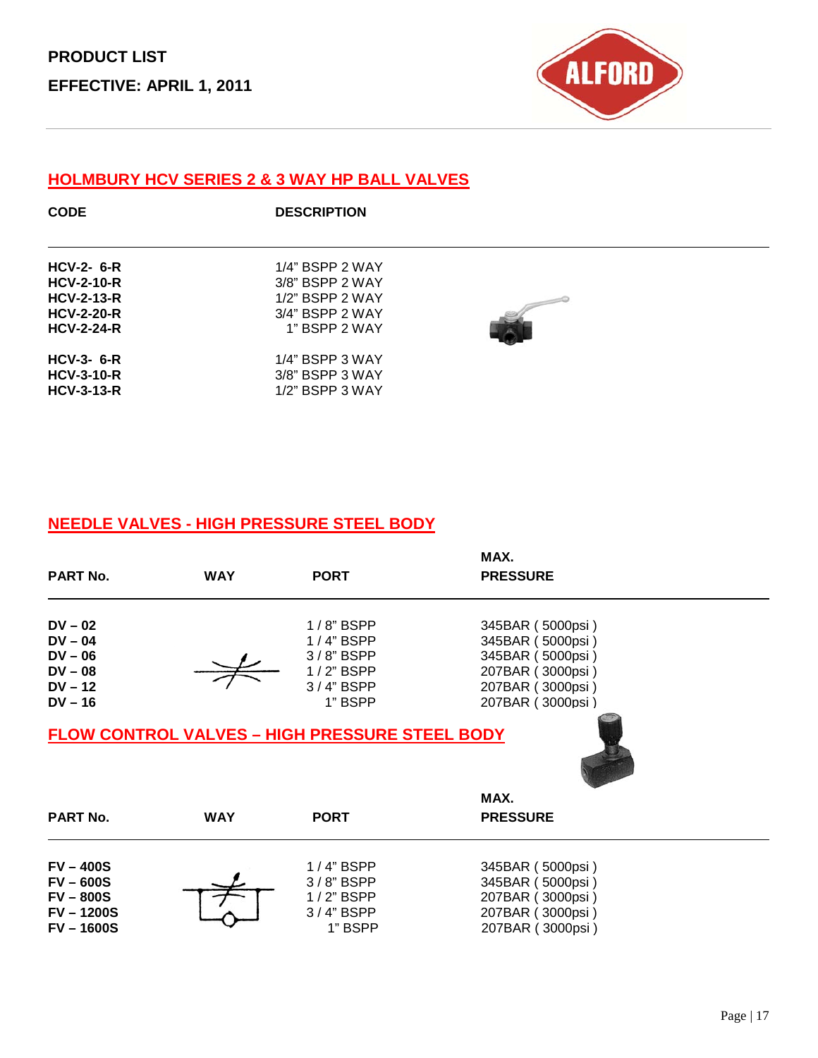

### **HOLMBURY HCV SERIES 2 & 3 WAY HP BALL VALVES**

| <b>CODE</b>                                                 | <b>DESCRIPTION</b>                                          |  |
|-------------------------------------------------------------|-------------------------------------------------------------|--|
| $HCV-2-6-R$                                                 | $1/4$ " BSPP 2 WAY                                          |  |
| <b>HCV-2-10-R</b><br><b>HCV-2-13-R</b><br><b>HCV-2-20-R</b> | 3/8" BSPP 2 WAY<br>$1/2$ " BSPP 2 WAY<br>$3/4$ " BSPP 2 WAY |  |
| <b>HCV-2-24-R</b><br>$HCV-3-6-R$                            | 1" BSPP 2 WAY<br>$1/4$ " BSPP 3 WAY                         |  |
| <b>HCV-3-10-R</b><br>$HCV-3-13-R$                           | $3/8$ " BSPP $3$ WAY<br>$1/2$ " BSPP 3 WAY                  |  |

### **NEEDLE VALVES - HIGH PRESSURE STEEL BODY**

| <b>PART No.</b> | <b>WAY</b> | <b>PORT</b>                                           | MAX.<br><b>PRESSURE</b> |  |
|-----------------|------------|-------------------------------------------------------|-------------------------|--|
|                 |            |                                                       |                         |  |
| $DV - 02$       |            | $1/8$ " BSPP                                          | 345BAR (5000psi)        |  |
| $DV - 04$       |            | $1/4$ " BSPP                                          | 345BAR (5000psi)        |  |
| $DV - 06$       |            | $3/8$ " BSPP                                          | 345BAR (5000psi)        |  |
| $DV - 08$       |            | $1/2$ " BSPP                                          | 207BAR (3000psi)        |  |
| $DV - 12$       |            | $3/4$ " BSPP                                          | 207BAR (3000psi)        |  |
| $DV - 16$       |            | 1" BSPP                                               | 207BAR (3000psi)        |  |
|                 |            | <b>FLOW CONTROL VALVES - HIGH PRESSURE STEEL BODY</b> |                         |  |
|                 |            |                                                       |                         |  |
|                 |            |                                                       | MAX.                    |  |
| <b>PART No.</b> | <b>WAY</b> | <b>PORT</b>                                           | <b>PRESSURE</b>         |  |
|                 |            |                                                       |                         |  |

| <b>FV-400S</b>    | $1/4$ " BSPP | 345BAR (5000psi) |
|-------------------|--------------|------------------|
| <b>FV – 600S</b>  | $3/8$ " BSPP | 345BAR (5000psi) |
| <b>FV – 800S</b>  | $1/2$ " BSPP | 207BAR (3000psi) |
| <b>FV-1200S</b>   | $3/4$ " BSPP | 207BAR (3000psi) |
| <b>FV – 1600S</b> | 1" BSPP      | 207BAR (3000psi) |
|                   |              |                  |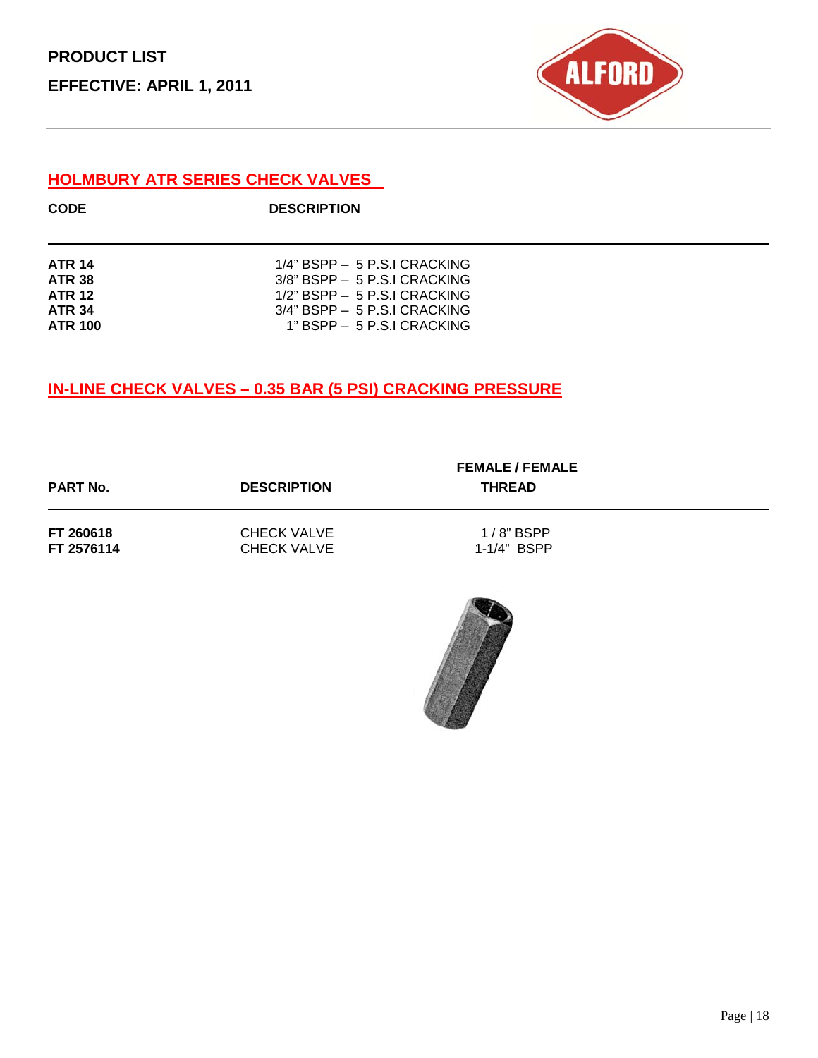

### **HOLMBURY ATR SERIES CHECK VALVES**

| <b>CODE</b>    | <b>DESCRIPTION</b>               |
|----------------|----------------------------------|
|                |                                  |
| <b>ATR 14</b>  | $1/4$ " BSPP $-5$ P.S.I CRACKING |
| <b>ATR 38</b>  | $3/8$ " BSPP $-5$ P.S.I CRACKING |
| <b>ATR 12</b>  | $1/2$ " BSPP $-5$ P.S.I CRACKING |
| <b>ATR 34</b>  | $3/4$ " BSPP $-5$ P.S.I CRACKING |
| <b>ATR 100</b> | $1"$ BSPP $-5$ P.S.I CRACKING    |

#### **IN-LINE CHECK VALVES – 0.35 BAR (5 PSI) CRACKING PRESSURE**

| <b>PART No.</b> | <b>DESCRIPTION</b> | <b>FEMALE / FEMALE</b><br><b>THREAD</b> |  |
|-----------------|--------------------|-----------------------------------------|--|
| FT 260618       | <b>CHECK VALVE</b> | $1/8$ " BSPP                            |  |
| FT 2576114      | <b>CHECK VALVE</b> | 1-1/4" BSPP                             |  |

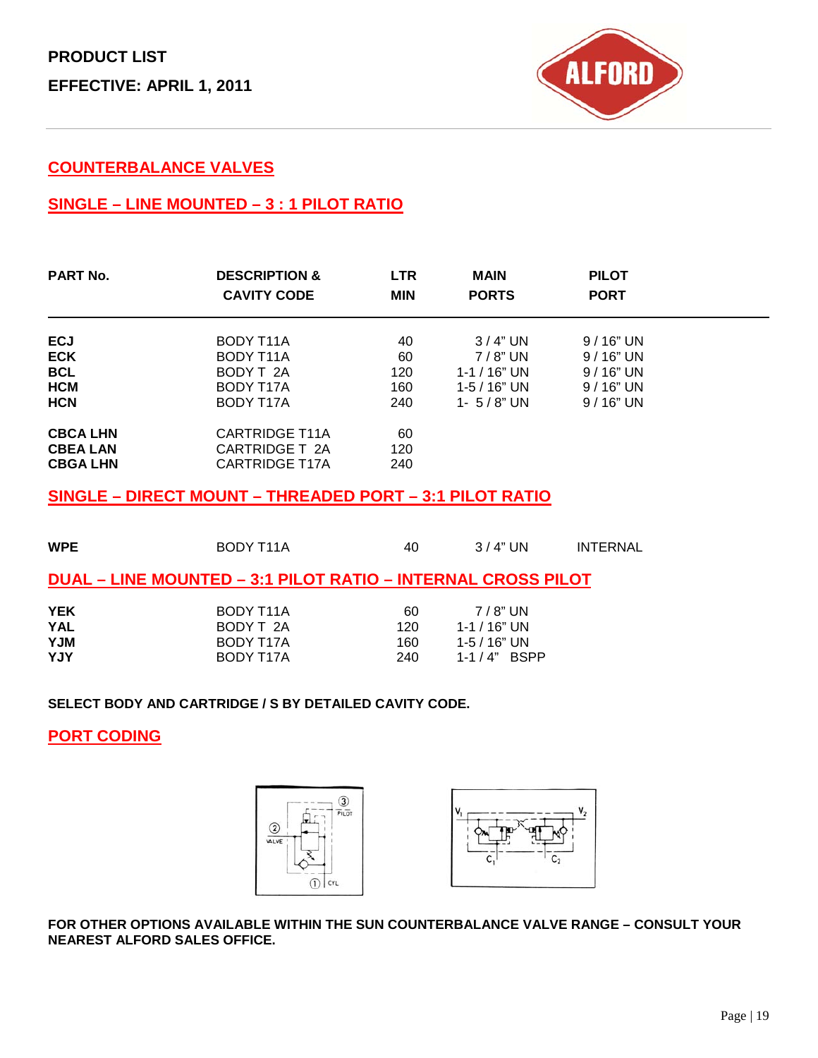

#### **COUNTERBALANCE VALVES**

### **SINGLE – LINE MOUNTED – 3 : 1 PILOT RATIO**

| <b>DESCRIPTION &amp;</b><br><b>CAVITY CODE</b>                   | <b>LTR</b><br><b>MIN</b> | <b>MAIN</b><br><b>PORTS</b> | <b>PILOT</b><br><b>PORT</b> |            |
|------------------------------------------------------------------|--------------------------|-----------------------------|-----------------------------|------------|
|                                                                  |                          |                             |                             |            |
|                                                                  |                          | $7/8$ " UN                  | $9/16"$ UN                  |            |
| BODY T 2A                                                        | 120                      | $1 - 1 / 16"$ UN            | $9/16"$ UN                  |            |
| BODY T17A                                                        | 160                      | $1 - 5 / 16"$ UN            | $9/16"$ UN                  |            |
| BODY T17A                                                        | 240                      | 1- $5/8$ " UN               | $9/16"$ UN                  |            |
| <b>CARTRIDGE T11A</b><br>CARTRIDGE T 2A<br><b>CARTRIDGE T17A</b> | 60<br>120<br>240         |                             |                             |            |
|                                                                  | BODY T11A<br>BODY T11A   | 40<br>60                    | 3/4" UN                     | $9/16"$ UN |

### **SINGLE – DIRECT MOUNT – THREADED PORT – 3:1 PILOT RATIO**

| <b>WPE</b>                                    | BODY T <sub>11</sub> A                                              | 40                      | 3/4" UN                                                          | <b>INTERNAL</b> |
|-----------------------------------------------|---------------------------------------------------------------------|-------------------------|------------------------------------------------------------------|-----------------|
|                                               | <b>DUAL – LINE MOUNTED – 3:1 PILOT RATIO – INTERNAL CROSS PILOT</b> |                         |                                                                  |                 |
| <b>YEK</b><br><b>YAL</b><br><b>NUY</b><br>YJY | BODY T11A<br>BODY T 2A<br>BODY T17A<br>BODY T17A                    | 60<br>120<br>160<br>240 | $7/8$ " UN<br>1-1 / 16" UN<br>1-5 / 16" UN<br>$1 - 1 / 4$ " BSPP |                 |

**SELECT BODY AND CARTRIDGE / S BY DETAILED CAVITY CODE.**

#### **PORT CODING**





**FOR OTHER OPTIONS AVAILABLE WITHIN THE SUN COUNTERBALANCE VALVE RANGE – CONSULT YOUR NEAREST ALFORD SALES OFFICE.**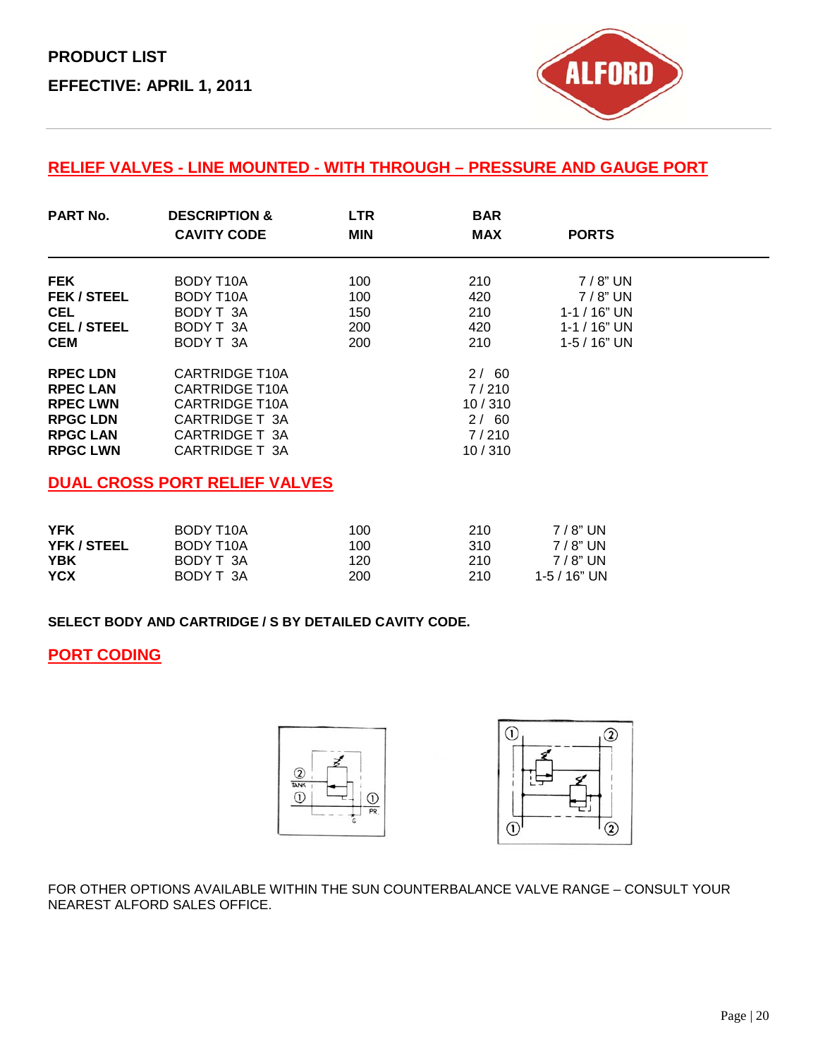

#### **RELIEF VALVES - LINE MOUNTED - WITH THROUGH – PRESSURE AND GAUGE PORT**

| <b>PART No.</b>    | <b>DESCRIPTION &amp;</b><br><b>CAVITY CODE</b> | <b>LTR</b><br><b>MIN</b> | <b>BAR</b><br><b>MAX</b> | <b>PORTS</b>     |  |
|--------------------|------------------------------------------------|--------------------------|--------------------------|------------------|--|
| <b>FEK</b>         | BODY T <sub>10</sub> A                         | 100                      | 210                      | $7/8$ " UN       |  |
| <b>FEK / STEEL</b> | <b>BODY T10A</b>                               | 100                      | 420                      | $7/8$ " UN       |  |
| <b>CEL</b>         | BODY T 3A                                      | 150                      | 210                      | $1 - 1 / 16"$ UN |  |
| <b>CEL/STEEL</b>   | BODY T 3A                                      | 200                      | 420                      | $1 - 1 / 16"$ UN |  |
| <b>CEM</b>         | BODY T 3A                                      | 200                      | 210                      | $1 - 5 / 16"$ UN |  |
| <b>RPEC LDN</b>    | <b>CARTRIDGE T10A</b>                          |                          | 2/60                     |                  |  |
| <b>RPEC LAN</b>    | <b>CARTRIDGE T10A</b>                          |                          | 7/210                    |                  |  |
| <b>RPEC LWN</b>    | <b>CARTRIDGE T10A</b>                          |                          | 10/310                   |                  |  |
| <b>RPGC LDN</b>    | CARTRIDGE T 3A                                 |                          | 2/60                     |                  |  |
| <b>RPGC LAN</b>    | CARTRIDGE T 3A                                 |                          | 7/210                    |                  |  |
| <b>RPGC LWN</b>    | CARTRIDGE T 3A                                 |                          | 10/310                   |                  |  |
|                    | <b>DUAL CROSS PORT RELIEF VALVES</b>           |                          |                          |                  |  |

#### **YFK** BODY T10A 100 210 7/8" UN<br> **YFK** / STEEL BODY T10A 100 310 7/8" UN **YFK / STEEL** BODY T10A 100 310 7 / 8" UN **YBK** BODY T 3A 120 210 7 / 8" UN **YCX** BODY T 3A 200 210 1-5 / 16" UN

**SELECT BODY AND CARTRIDGE / S BY DETAILED CAVITY CODE.**

#### **PORT CODING**



FOR OTHER OPTIONS AVAILABLE WITHIN THE SUN COUNTERBALANCE VALVE RANGE – CONSULT YOUR NEAREST ALFORD SALES OFFICE.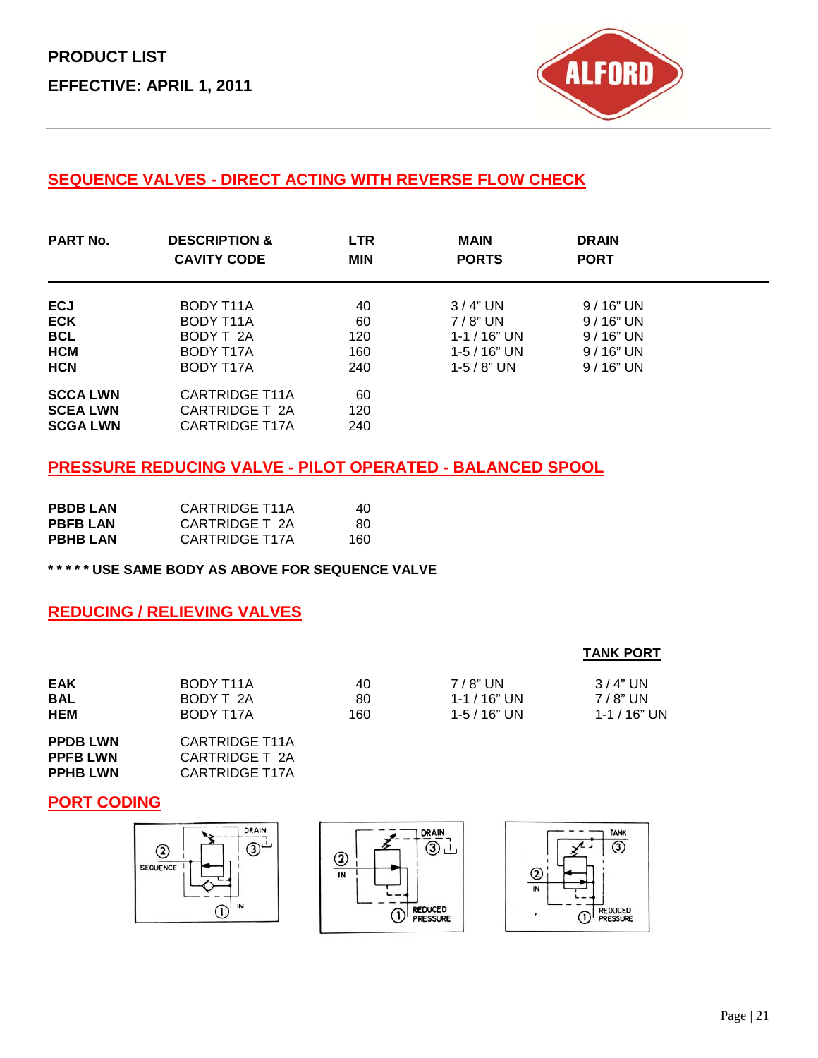

### **SEQUENCE VALVES - DIRECT ACTING WITH REVERSE FLOW CHECK**

| <b>PART No.</b>                                      | <b>DESCRIPTION &amp;</b><br><b>CAVITY CODE</b>                   | <b>LTR</b><br><b>MIN</b> | <b>MAIN</b><br><b>PORTS</b> | <b>DRAIN</b><br><b>PORT</b> |  |
|------------------------------------------------------|------------------------------------------------------------------|--------------------------|-----------------------------|-----------------------------|--|
| <b>ECJ</b>                                           | BODY T11A                                                        | 40                       | 3/4" UN                     | $9/16"$ UN                  |  |
| <b>ECK</b>                                           | BODY T11A                                                        | 60                       | $7/8$ " UN                  | $9/16"$ UN                  |  |
| <b>BCL</b>                                           | BODY T 2A                                                        | 120                      | $1 - 1 / 16"$ UN            | $9/16"$ UN                  |  |
| <b>HCM</b>                                           | BODY T17A                                                        | 160                      | $1 - 5 / 16"$ UN            | $9/16"$ UN                  |  |
| <b>HCN</b>                                           | BODY T17A                                                        | 240                      | 1-5 / 8" UN                 | $9/16"$ UN                  |  |
| <b>SCCALWN</b><br><b>SCEA LWN</b><br><b>SCGA LWN</b> | <b>CARTRIDGE T11A</b><br>CARTRIDGE T 2A<br><b>CARTRIDGE T17A</b> | 60<br>120<br>240         |                             |                             |  |

#### **PRESSURE REDUCING VALVE - PILOT OPERATED - BALANCED SPOOL**

| <b>PBDBLAN</b>  | <b>CARTRIDGE T11A</b> | 40.  |
|-----------------|-----------------------|------|
| <b>PBFBLAN</b>  | CARTRIDGE T 2A        | -80- |
| <b>PBHB LAN</b> | CARTRIDGE T17A        | 160  |

**\* \* \* \* \* USE SAME BODY AS ABOVE FOR SEQUENCE VALVE**

#### **REDUCING / RELIEVING VALVES**

#### **TANK PORT**

| EAK | BODY T11A | 40  | $7/8$ " UN       | $3/4"$ UN    |
|-----|-----------|-----|------------------|--------------|
| BAL | BODY T 2A | 80  | 1-1 / 16" UN     | 7 / 8" UN    |
| HEM | BODY T17A | 160 | $1 - 5 / 16"$ UN | 1-1 / 16" UN |

**PPDB LWN CARTRIDGE T11A**<br>**PPFB LWN CARTRIDGE T 2A PPFB LWN CARTRIDGE T 2A**<br>**PPHB LWN CARTRIDGE T17A CARTRIDGE T17A** 

#### **PORT CODING**

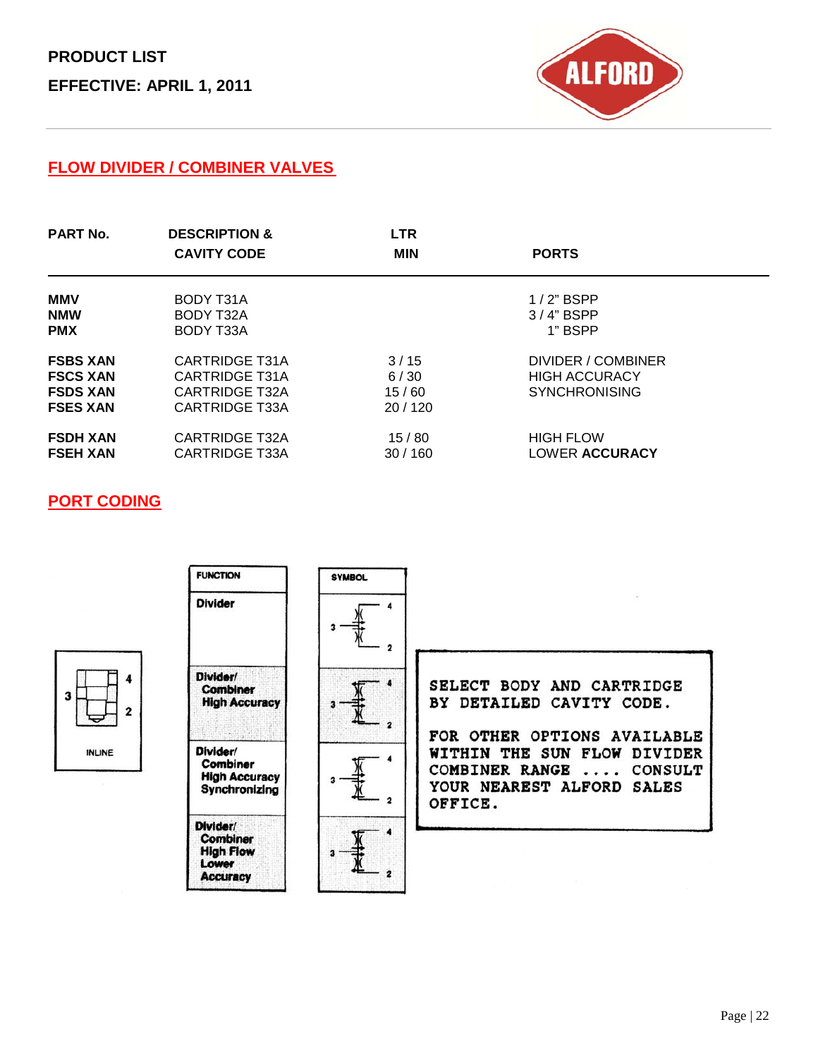

#### **FLOW DIVIDER / COMBINER VALVES**

| <b>PART No.</b>                                                          | <b>DESCRIPTION &amp;</b><br><b>CAVITY CODE</b>                                     | <b>LTR</b><br><b>MIN</b>        | <b>PORTS</b>                                                       |
|--------------------------------------------------------------------------|------------------------------------------------------------------------------------|---------------------------------|--------------------------------------------------------------------|
| <b>MMV</b>                                                               | BODY T31A                                                                          |                                 | $1/2$ " BSPP                                                       |
| <b>NMW</b>                                                               | BODY T32A                                                                          |                                 | $3/4$ " BSPP                                                       |
| <b>PMX</b>                                                               | BODY T33A                                                                          |                                 | 1" BSPP                                                            |
| <b>FSBS XAN</b><br><b>FSCS XAN</b><br><b>FSDS XAN</b><br><b>FSES XAN</b> | CARTRIDGE T31A<br>CARTRIDGE T31A<br><b>CARTRIDGE T32A</b><br><b>CARTRIDGE T33A</b> | 3/15<br>6/30<br>15/60<br>20/120 | DIVIDER / COMBINER<br><b>HIGH ACCURACY</b><br><b>SYNCHRONISING</b> |
| <b>FSDH XAN</b>                                                          | <b>CARTRIDGE T32A</b>                                                              | 15/80                           | <b>HIGH FLOW</b>                                                   |
| <b>FSEH XAN</b>                                                          | <b>CARTRIDGE T33A</b>                                                              | 30/160                          | <b>LOWER ACCURACY</b>                                              |

#### **PORT CODING**

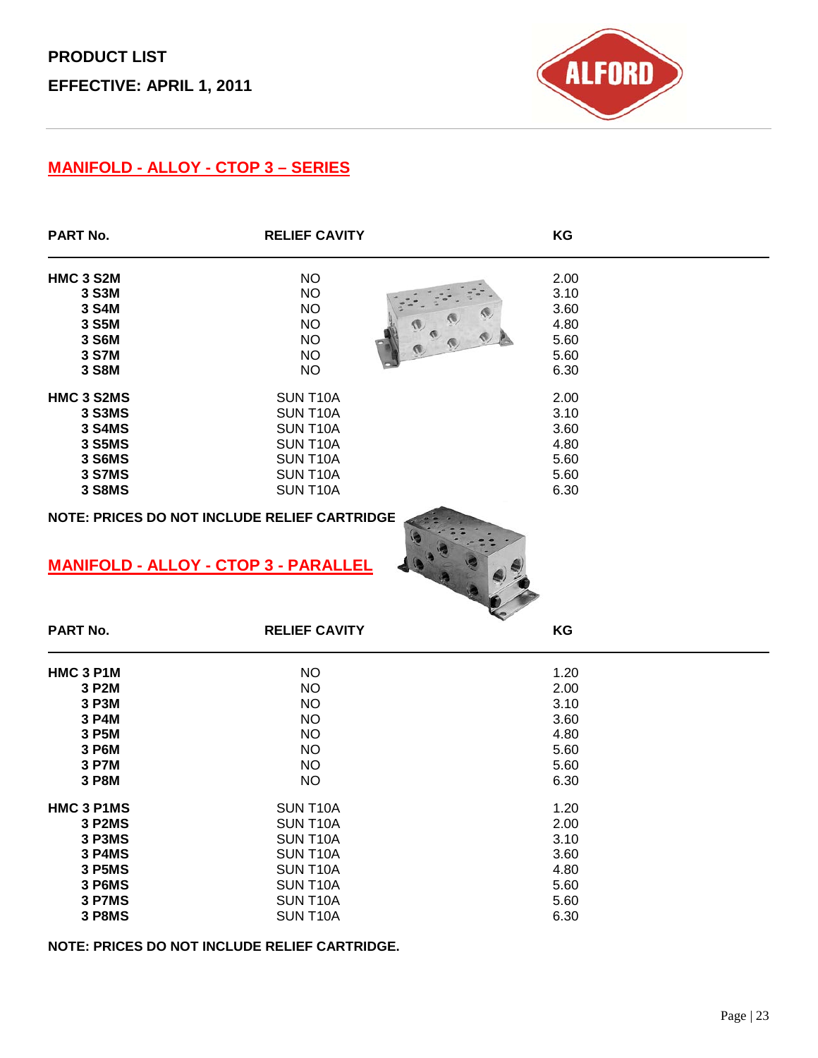

### **MANIFOLD - ALLOY - CTOP 3 – SERIES**

| <b>PART No.</b>  | <b>RELIEF CAVITY</b>                                                                                                | KG   |
|------------------|---------------------------------------------------------------------------------------------------------------------|------|
| <b>HMC 3 S2M</b> | <b>NO</b>                                                                                                           | 2.00 |
| 3 S3M            | <b>NO</b>                                                                                                           | 3.10 |
| 3 S4M            | <b>NO</b>                                                                                                           | 3.60 |
| 3 S5M            | <b>NO</b>                                                                                                           | 4.80 |
| 3 S6M            | <b>NO</b>                                                                                                           | 5.60 |
| 3 S7M            | <b>NO</b>                                                                                                           | 5.60 |
| 3 S8M            | <b>NO</b>                                                                                                           | 6.30 |
| HMC 3 S2MS       | SUN T10A                                                                                                            | 2.00 |
| 3 S3MS           | SUN T10A                                                                                                            | 3.10 |
| <b>3 S4MS</b>    | SUN T10A                                                                                                            | 3.60 |
| 3 S5MS           | SUN T10A                                                                                                            | 4.80 |
| 3 S6MS           | SUN T10A                                                                                                            | 5.60 |
| <b>3 S7MS</b>    | SUN T10A                                                                                                            | 5.60 |
| <b>3 S8MS</b>    | SUN T10A                                                                                                            | 6.30 |
| <b>PART No.</b>  | NOTE: PRICES DO NOT INCLUDE RELIEF CARTRIDGE<br><b>MANIFOLD - ALLOY - CTOP 3 - PARALLEL</b><br><b>RELIEF CAVITY</b> | KG   |
| HMC 3 P1M        | <b>NO</b>                                                                                                           | 1.20 |
| 3 P2M            | <b>NO</b>                                                                                                           | 2.00 |
| 3 P3M            | <b>NO</b>                                                                                                           | 3.10 |
| 3 P4M            | <b>NO</b>                                                                                                           | 3.60 |
| 3 P5M            | <b>NO</b>                                                                                                           | 4.80 |
| 3 P6M            | <b>NO</b>                                                                                                           | 5.60 |
| 3 P7M            | <b>NO</b>                                                                                                           | 5.60 |
| 3 P8M            | <b>NO</b>                                                                                                           | 6.30 |
| HMC 3 P1MS       | SUN T10A                                                                                                            | 1.20 |
| 3 P2MS           | SUN T10A                                                                                                            | 2.00 |
| 3 P3MS           | SUN T10A                                                                                                            | 3.10 |
| 3 P4MS           | SUN T10A                                                                                                            | 3.60 |
| <b>3 P5MS</b>    | SUN T10A                                                                                                            | 4.80 |
| 3 P6MS           | SUN T10A                                                                                                            | 5.60 |
| 3 P7MS           | SUN T10A                                                                                                            | 5.60 |
| <b>3 P8MS</b>    | SUN T10A                                                                                                            | 6.30 |

**NOTE: PRICES DO NOT INCLUDE RELIEF CARTRIDGE.**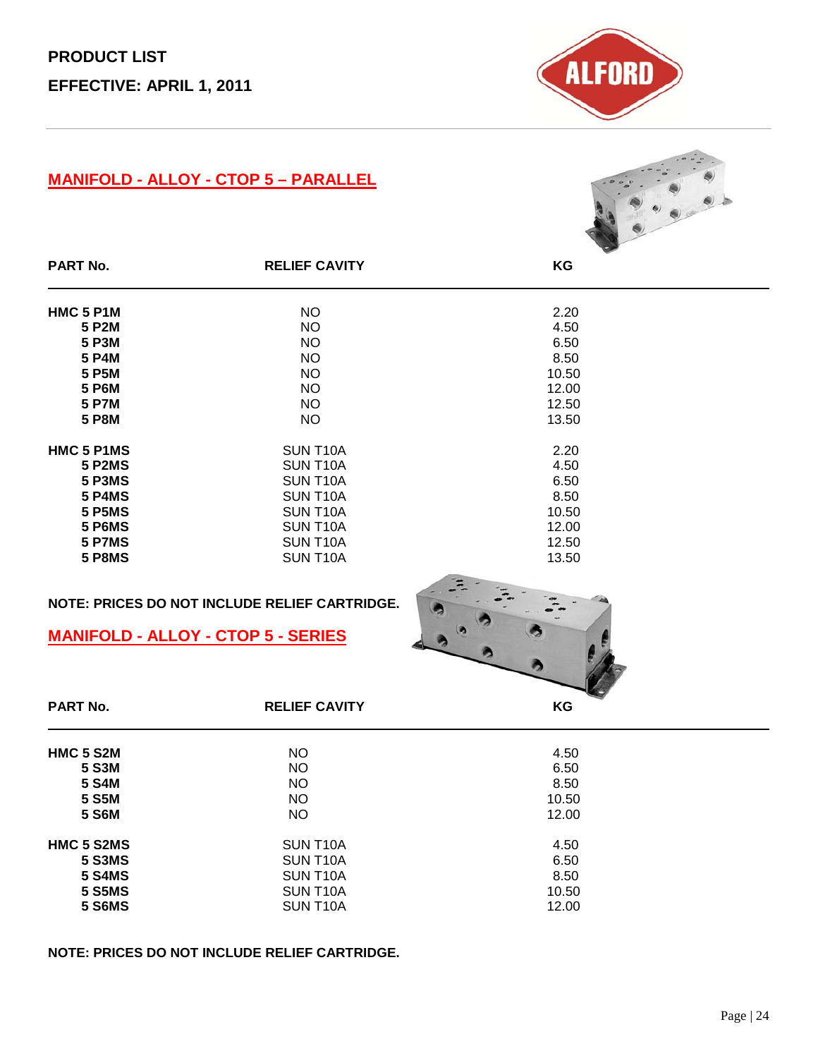

### **MANIFOLD - ALLOY - CTOP 5 – PARALLEL**



| <b>PART No.</b>    | <b>RELIEF CAVITY</b>  | KG    |  |
|--------------------|-----------------------|-------|--|
| HMC 5 P1M          | NO.                   | 2.20  |  |
| 5 P <sub>2</sub> M | <b>NO</b>             | 4.50  |  |
| 5 P3M              | NO.                   | 6.50  |  |
| 5 P4M              | NO.                   | 8.50  |  |
| 5 P5M              | <b>NO</b>             | 10.50 |  |
| 5 P6M              | <b>NO</b>             | 12.00 |  |
| <b>5 P7M</b>       | <b>NO</b>             | 12.50 |  |
| <b>5 P8M</b>       | <b>NO</b>             | 13.50 |  |
| HMC 5 P1MS         | SUN T <sub>10</sub> A | 2.20  |  |
| <b>5 P2MS</b>      | SUN T <sub>10</sub> A | 4.50  |  |
| 5 P3MS             | SUN T <sub>10</sub> A | 6.50  |  |
| <b>5 P4MS</b>      | SUN T <sub>10</sub> A | 8.50  |  |
| <b>5 P5MS</b>      | SUN T <sub>10</sub> A | 10.50 |  |
| 5 P6MS             | SUN T <sub>10</sub> A | 12.00 |  |
| 5 P7MS             | SUN T <sub>10</sub> A | 12.50 |  |
| 5 P8MS             | SUN T <sub>10</sub> A | 13.50 |  |
|                    |                       |       |  |

#### **NOTE: PRICES DO NOT INCLUDE RELIEF CARTRIDGE.**

#### **MANIFOLD - ALLOY - CTOP 5 - SERIES**



| <b>PART No.</b>   | <b>RELIEF CAVITY</b>  | ΚG    |
|-------------------|-----------------------|-------|
|                   |                       |       |
| <b>HMC 5 S2M</b>  | <b>NO</b>             | 4.50  |
| 5 S3M             | <b>NO</b>             | 6.50  |
| 5 S4M             | <b>NO</b>             | 8.50  |
| 5 S5M             | <b>NO</b>             | 10.50 |
| <b>5 S6M</b>      | <b>NO</b>             | 12.00 |
| <b>HMC 5 S2MS</b> | SUN T <sub>10</sub> A | 4.50  |
| <b>5 S3MS</b>     | SUN T <sub>10</sub> A | 6.50  |
| <b>5 S4MS</b>     | SUN T <sub>10</sub> A | 8.50  |
| <b>5 S5MS</b>     | SUN T <sub>10</sub> A | 10.50 |
| <b>5 S6MS</b>     | SUN T <sub>10</sub> A | 12.00 |

#### **NOTE: PRICES DO NOT INCLUDE RELIEF CARTRIDGE.**